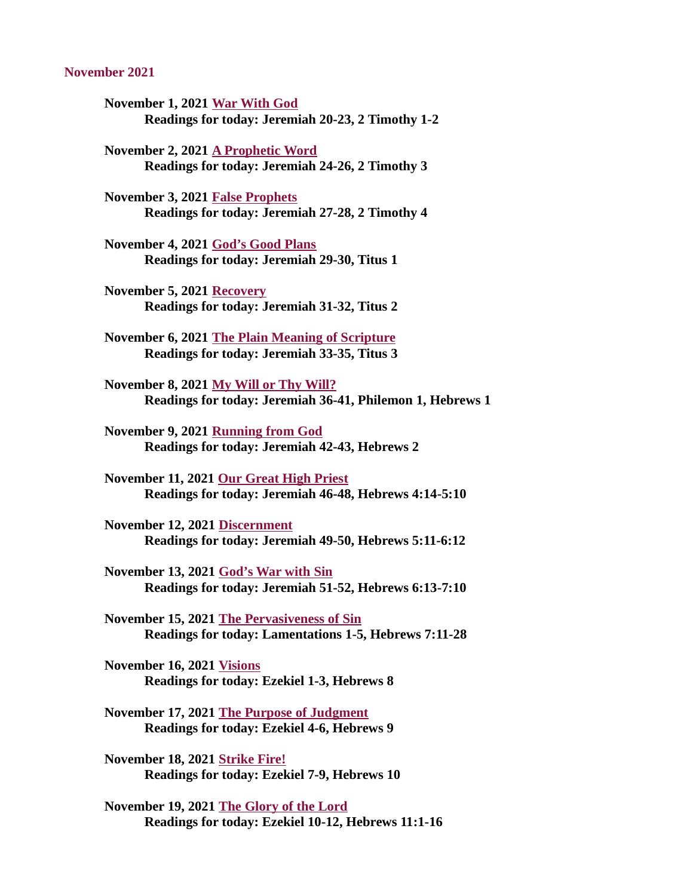#### November 2021

- November 1, 2021 War With God [Readings for today: Jeremiah 20-23, 2 Timothy 1-2](#page-2-0)
- November 2, 2021 A Prophetic Word [Readings for today: Jeremiah 24-26, 2 Timothy 3](#page-4-0)
- November 3, 2021 False Prophets [Readings for today: Jeremiah 27-28, 2 Timothy 4](#page-6-0)
- November 4, 2021 God's Good Plans [Readings for today: Jeremiah 29-30, Titus 1](#page-8-0)
- November 5, 2021 Recovery [Readings for today: Jeremiah 31-32, Titus 2](#page-10-0)
- [November 6, 2021 The Plain Meaning of Scripture](#page-12-0) Readings for today: Jeremiah 33-35, Titus 3
- November 8, 2021 My Will or Thy Will? [Readings for today: Jeremiah 36-41, Philemon 1, Hebrews 1](#page-14-0)
- November 9, 2021 Running from God [Readings for today: Jeremiah 42-43, Hebrews 2](#page-16-0)
- November 11, 2021 Our Great High Priest [Readings for today: Jeremiah 46-48, Hebrews 4:14-5:10](#page-18-0)
- November 12, 2021 Discernment [Readings for today: Jeremiah 49-50, Hebrews 5:11-6:12](#page-19-0)
- November 13, 2021 God's War with Sin [Readings for today: Jeremiah 51-52, Hebrews 6:13-7:10](#page-21-0)
- November 15, 2021 The Pervasiveness of Sin [Readings for today: Lamentations 1-5, Hebrews 7:11-28](#page-23-0)
- November 16, 2021 Visions [Readings for today: Ezekiel 1-3, Hebrews 8](#page-25-0)
- [November 17, 2021 The Purpose of Judgment](#page-27-0) Readings for today: Ezekiel 4-6, Hebrews 9
- November 18, 2021 Strike Fire! [Readings for today: Ezekiel 7-9, Hebrews 10](#page-29-0)
- November 19, 2021 The Glory of the Lord [Readings for today: Ezekiel 10-12, Hebrews 11:1-16](#page-30-0)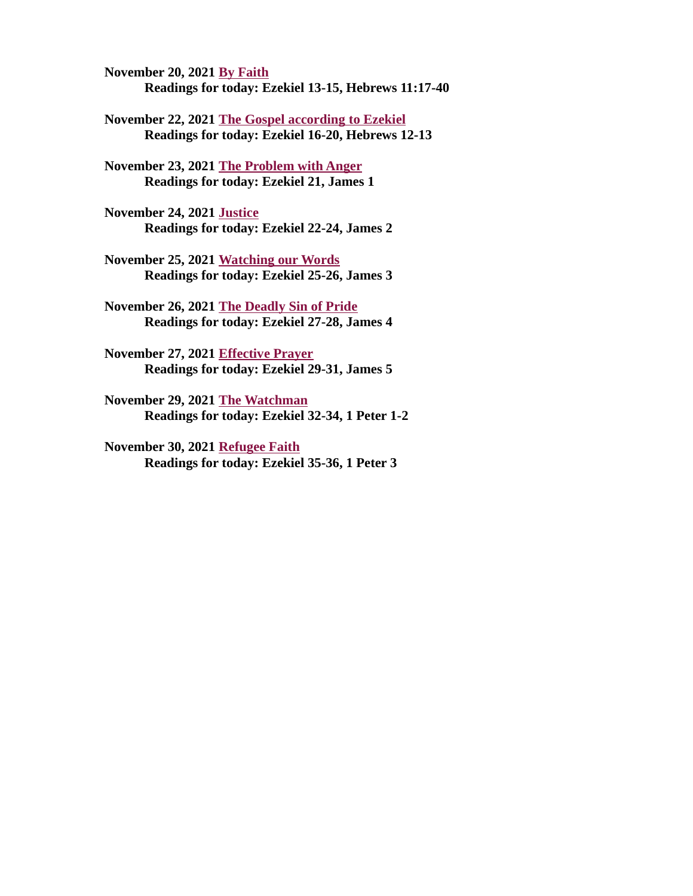November 20, 2021 By Faith [Readings for today: Ezekiel 13-15, Hebrews 11:17-40](#page-32-0)

[November 22, 2021 The Gospel according to Ezekiel](#page-33-0) Readings for today: Ezekiel 16-20, Hebrews 12-13

[November 23, 2021 The Problem with Anger](#page-35-0) Readings for today: Ezekiel 21, James 1

November 24, 2021 Justice [Readings for today: Ezekiel 22-24, James 2](#page-37-0)

November 25, 2021 Watching our Words [Readings for today: Ezekiel 25-26, James 3](#page-38-0)

[November 26, 2021 The Deadly Sin of Pride](#page-39-0) Readings for today: Ezekiel 27-28, James 4

November 27, 2021 Effective Prayer [Readings for today: Ezekiel 29-31, James 5](#page-41-0)

November 29, 2021 The Watchman [Readings for today: Ezekiel 32-34, 1 Peter 1-2](#page-43-0)

November 30, 2021 Refugee Faith [Readings for today: Ezekiel 35-36, 1 Peter 3](#page-45-0)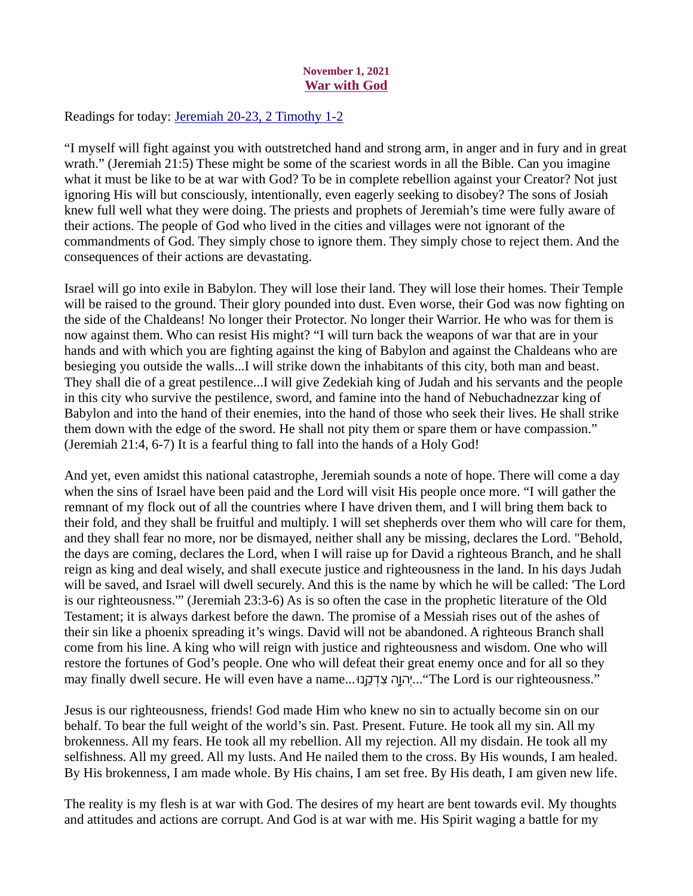# November 1, 2021 War with God

<span id="page-2-0"></span>Readings for today[: Jeremiah 20-23, 2 Timothy 1-2](https://www.biblegateway.com/passage/?search=Jeremiah+20-23%2C+2+Timothy+1-2&version=ESV)

"I myself will fight against you with outstretched hand and strong arm, in anger and in fury and in great wrath." (Jeremiah 21:5) These might be some of the scariest words in all the Bible. Can you imagine what it must be like to be at war with God? To be in complete rebellion against your Creator? Not just ignoring His will but consciously, intentionally, even eagerly seeking to disobey? The sons of Josiah knew full well what they were doing. The priests and prophets of Jeremiah's time were fully aware of their actions. The people of God who lived in the cities and villages were not ignorant of the commandments of God. They simply chose to ignore them. They simply chose to reject them. And the consequences of their actions are devastating.

Israel will go into exile in Babylon. They will lose their land. They will lose their homes. Their Temple will be raised to the ground. Their glory pounded into dust. Even worse, their God was now fighting on the side of the Chaldeans! No longer their Protector. No longer their Warrior. He who was for them is now against them. Who can resist His might? "I will turn back the weapons of war that are in your hands and with which you are fighting against the king of Babylon and against the Chaldeans who are besieging you outside the walls...I will strike down the inhabitants of this city, both man and beast. They shall die of a great pestilence...I will give Zedekiah king of Judah and his servants and the people in this city who survive the pestilence, sword, and famine into the hand of Nebuchadnezzar king of Babylon and into the hand of their enemies, into the hand of those who seek their lives. He shall strike them down with the edge of the sword. He shall not pity them or spare them or have compassion." (Jeremiah 21:4, 6-7) It is a fearful thing to fall into the hands of a Holy God!

And yet, even amidst this national catastrophe, Jeremiah sounds a note of hope. There will come a day when the sins of Israel have been paid and the Lord will visit His people once more. "I will gather the remnant of my flock out of all the countries where I have driven them, and I will bring them back to their fold, and they shall be fruitful and multiply. I will set shepherds over them who will care for them, and they shall fear no more, nor be dismayed, neither shall any be missing, declares the Lord. "Behold, the days are coming, declares the Lord, when I will raise up for David a righteous Branch, and he shall reign as king and deal wisely, and shall execute justice and righteousness in the land. In his days Judah will be saved, and Israel will dwell securely. And this is the name by which he will be called: 'The Lord is our righteousness.'" (Jeremiah 23:3-6) As is so often the case in the prophetic literature of the Old Testament; it is always darkest before the dawn. The promise of a Messiah rises out of the ashes of their sin like a phoenix spreading it's wings. David will not be abandoned. A righteous Branch shall come from his line. A king who will reign with justice and righteousness and wisdom. One who will restore the fortunes of God's people. One who will defeat their great enemy once and for all so they may finally dwell secure. He will even have a name...!הַוָּה צְדְקָנוּ..."The Lord is our righteousness."

Jesus is our righteousness, friends! God made Him who knew no sin to actually become sin on our behalf. To bear the full weight of the world's sin. Past. Present. Future. He took all my sin. All my brokenness. All my fears. He took all my rebellion. All my rejection. All my disdain. He took all my selfishness. All my greed. All my lusts. And He nailed them to the cross. By His wounds, I am healed. By His brokenness, I am made whole. By His chains, I am set free. By His death, I am given new life.

The reality is my flesh is at war with God. The desires of my heart are bent towards evil. My thoughts and attitudes and actions are corrupt. And God is at war with me. His Spirit waging a battle for my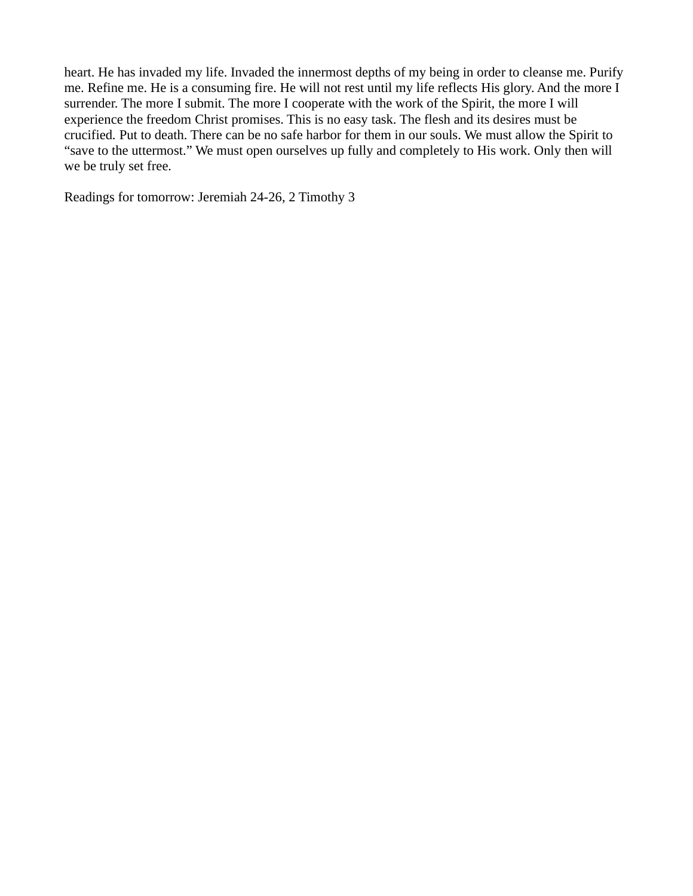heart. He has invaded my life. Invaded the innermost depths of my being in order to cleanse me. Purify me. Refine me. He is a consuming fire. He will not rest until my life reflects His glory. And the more I surrender. The more I submit. The more I cooperate with the work of the Spirit, the more I will experience the freedom Christ promises. This is no easy task. The flesh and its desires must be crucified. Put to death. There can be no safe harbor for them in our souls. We must allow the Spirit to "save to the uttermost." We must open ourselves up fully and completely to His work. Only then will we be truly set free.

Readings for tomorrow: Jeremiah 24-26, 2 Timothy 3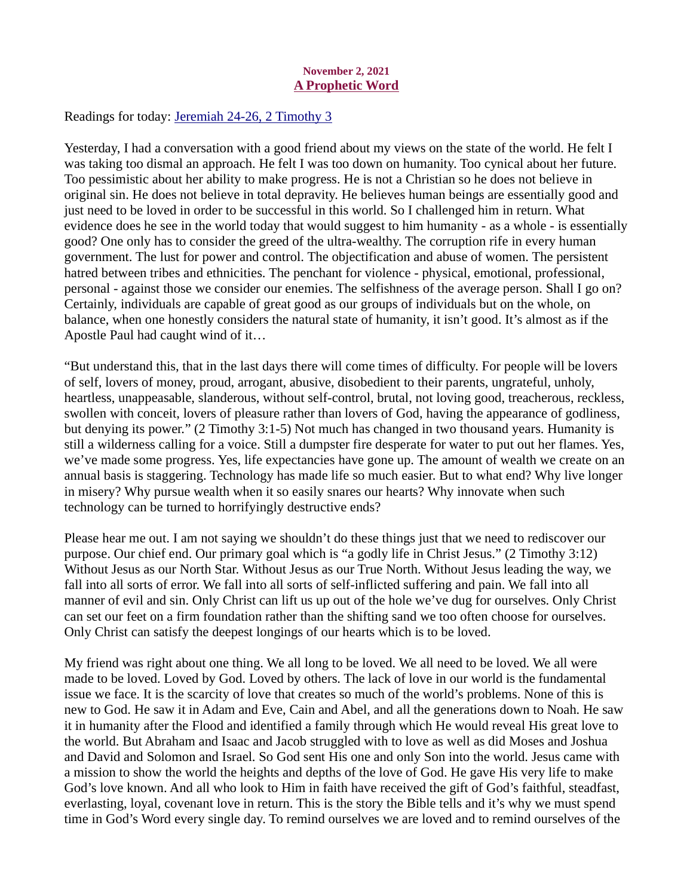# November 2, 2021 A Prophetic Word

<span id="page-4-0"></span>Readings for toda[y: Jeremiah 24-26, 2 Timothy 3](https://www.biblegateway.com/passage/?search=Jeremiah+24-26%2C+2+Timothy+3&version=ESV)

Yesterday, I had a conversation with a good friend about my views on the state of the world. He felt I was taking too dismal an approach. He felt I was too down on humanity. Too cynical about her future. Too pessimistic about her ability to make progress. He is not a Christian so he does not believe in original sin. He does not believe in total depravity. He believes human beings are essentially good and just need to be loved in order to be successful in this world. So I challenged him in return. What evidence does he see in the world today that would suggest to him humanity - as a whole - is essentially good? One only has to consider the greed of the ultra-wealthy. The corruption rife in every human government. The lust for power and control. The objectification and abuse of women. The persistent hatred between tribes and ethnicities. The penchant for violence - physical, emotional, professional, personal - against those we consider our enemies. The selfishness of the average person. Shall I go on? Certainly, individuals are capable of great good as our groups of individuals but on the whole, on balance, when one honestly considers the natural state of humanity, it isn't good. It's almost as if the Apostle Paul had caught wind of it…

"But understand this, that in the last days there will come times of difficulty. For people will be lovers of self, lovers of money, proud, arrogant, abusive, disobedient to their parents, ungrateful, unholy, heartless, unappeasable, slanderous, without self-control, brutal, not loving good, treacherous, reckless, swollen with conceit, lovers of pleasure rather than lovers of God, having the appearance of godliness, but denying its power." (2 Timothy 3:1-5) Not much has changed in two thousand years. Humanity is still a wilderness calling for a voice. Still a dumpster fire desperate for water to put out her flames. Yes, we've made some progress. Yes, life expectancies have gone up. The amount of wealth we create on an annual basis is staggering. Technology has made life so much easier. But to what end? Why live longer in misery? Why pursue wealth when it so easily snares our hearts? Why innovate when such technology can be turned to horrifyingly destructive ends?

Please hear me out. I am not saying we shouldn't do these things just that we need to rediscover our purpose. Our chief end. Our primary goal which is "a godly life in Christ Jesus." (2 Timothy 3:12) Without Jesus as our North Star. Without Jesus as our True North. Without Jesus leading the way, we fall into all sorts of error. We fall into all sorts of self-inflicted suffering and pain. We fall into all manner of evil and sin. Only Christ can lift us up out of the hole we've dug for ourselves. Only Christ can set our feet on a firm foundation rather than the shifting sand we too often choose for ourselves. Only Christ can satisfy the deepest longings of our hearts which is to be loved.

My friend was right about one thing. We all long to be loved. We all need to be loved. We all were made to be loved. Loved by God. Loved by others. The lack of love in our world is the fundamental issue we face. It is the scarcity of love that creates so much of the world's problems. None of this is new to God. He saw it in Adam and Eve, Cain and Abel, and all the generations down to Noah. He saw it in humanity after the Flood and identified a family through which He would reveal His great love to the world. But Abraham and Isaac and Jacob struggled with to love as well as did Moses and Joshua and David and Solomon and Israel. So God sent His one and only Son into the world. Jesus came with a mission to show the world the heights and depths of the love of God. He gave His very life to make God's love known. And all who look to Him in faith have received the gift of God's faithful, steadfast, everlasting, loyal, covenant love in return. This is the story the Bible tells and it's why we must spend time in God's Word every single day. To remind ourselves we are loved and to remind ourselves of the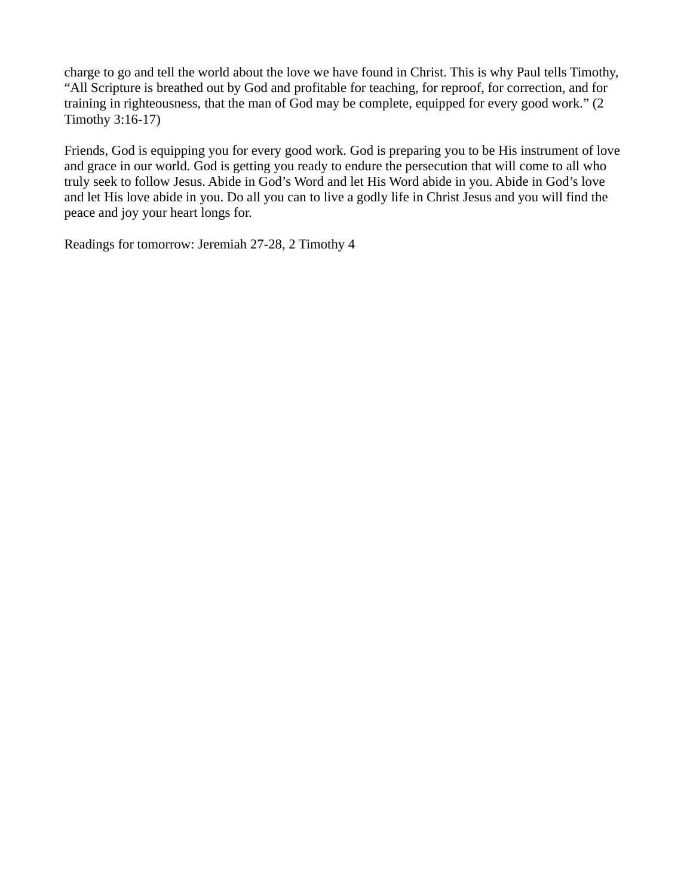charge to go and tell the world about the love we have found in Christ. This is why Paul tells Timothy, "All Scripture is breathed out by God and profitable for teaching, for reproof, for correction, and for training in righteousness, that the man of God may be complete, equipped for every good work." (2 Timothy 3:16-17)

Friends, God is equipping you for every good work. God is preparing you to be His instrument of love and grace in our world. God is getting you ready to endure the persecution that will come to all who truly seek to follow Jesus. Abide in God's Word and let His Word abide in you. Abide in God's love and let His love abide in you. Do all you can to live a godly life in Christ Jesus and you will find the peace and joy your heart longs for.

Readings for tomorrow: Jeremiah 27-28, 2 Timothy 4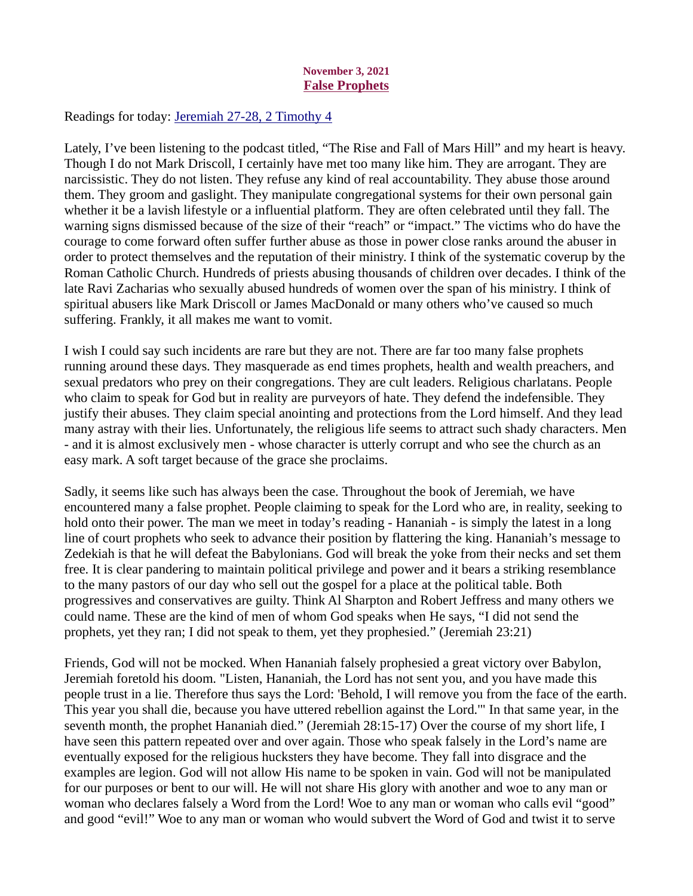# November 3, 2021 False Prophets

<span id="page-6-0"></span>Readings for today: [Jeremiah 27-28, 2 Timothy 4](https://www.biblegateway.com/passage/?search=Jeremiah+27-28%2C+2+Timothy+4&version=ESV)

Lately, I've been listening to the podcast titled, "The Rise and Fall of Mars Hill" and my heart is heavy. Though I do not Mark Driscoll, I certainly have met too many like him. They are arrogant. They are narcissistic. They do not listen. They refuse any kind of real accountability. They abuse those around them. They groom and gaslight. They manipulate congregational systems for their own personal gain whether it be a lavish lifestyle or a influential platform. They are often celebrated until they fall. The warning signs dismissed because of the size of their "reach" or "impact." The victims who do have the courage to come forward often suffer further abuse as those in power close ranks around the abuser in order to protect themselves and the reputation of their ministry. I think of the systematic coverup by the Roman Catholic Church. Hundreds of priests abusing thousands of children over decades. I think of the late Ravi Zacharias who sexually abused hundreds of women over the span of his ministry. I think of spiritual abusers like Mark Driscoll or James MacDonald or many others who've caused so much suffering. Frankly, it all makes me want to vomit.

I wish I could say such incidents are rare but they are not. There are far too many false prophets running around these days. They masquerade as end times prophets, health and wealth preachers, and sexual predators who prey on their congregations. They are cult leaders. Religious charlatans. People who claim to speak for God but in reality are purveyors of hate. They defend the indefensible. They justify their abuses. They claim special anointing and protections from the Lord himself. And they lead many astray with their lies. Unfortunately, the religious life seems to attract such shady characters. Men - and it is almost exclusively men - whose character is utterly corrupt and who see the church as an easy mark. A soft target because of the grace she proclaims.

Sadly, it seems like such has always been the case. Throughout the book of Jeremiah, we have encountered many a false prophet. People claiming to speak for the Lord who are, in reality, seeking to hold onto their power. The man we meet in today's reading - Hananiah - is simply the latest in a long line of court prophets who seek to advance their position by flattering the king. Hananiah's message to Zedekiah is that he will defeat the Babylonians. God will break the yoke from their necks and set them free. It is clear pandering to maintain political privilege and power and it bears a striking resemblance to the many pastors of our day who sell out the gospel for a place at the political table. Both progressives and conservatives are guilty. Think Al Sharpton and Robert Jeffress and many others we could name. These are the kind of men of whom God speaks when He says, "I did not send the prophets, yet they ran; I did not speak to them, yet they prophesied." (Jeremiah 23:21)

Friends, God will not be mocked. When Hananiah falsely prophesied a great victory over Babylon, Jeremiah foretold his doom. "Listen, Hananiah, the Lord has not sent you, and you have made this people trust in a lie. Therefore thus says the Lord: 'Behold, I will remove you from the face of the earth. This year you shall die, because you have uttered rebellion against the Lord.'" In that same year, in the seventh month, the prophet Hananiah died." (Jeremiah 28:15-17) Over the course of my short life, I have seen this pattern repeated over and over again. Those who speak falsely in the Lord's name are eventually exposed for the religious hucksters they have become. They fall into disgrace and the examples are legion. God will not allow His name to be spoken in vain. God will not be manipulated for our purposes or bent to our will. He will not share His glory with another and woe to any man or woman who declares falsely a Word from the Lord! Woe to any man or woman who calls evil "good" and good "evil!" Woe to any man or woman who would subvert the Word of God and twist it to serve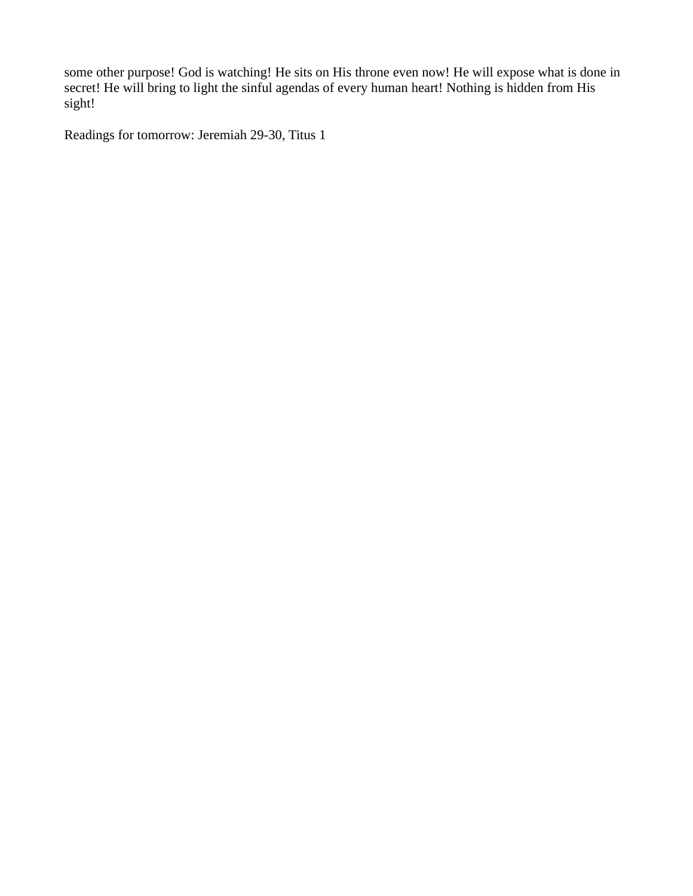some other purpose! God is watching! He sits on His throne even now! He will expose what is done in secret! He will bring to light the sinful agendas of every human heart! Nothing is hidden from His sight!

Readings for tomorrow: Jeremiah 29-30, Titus 1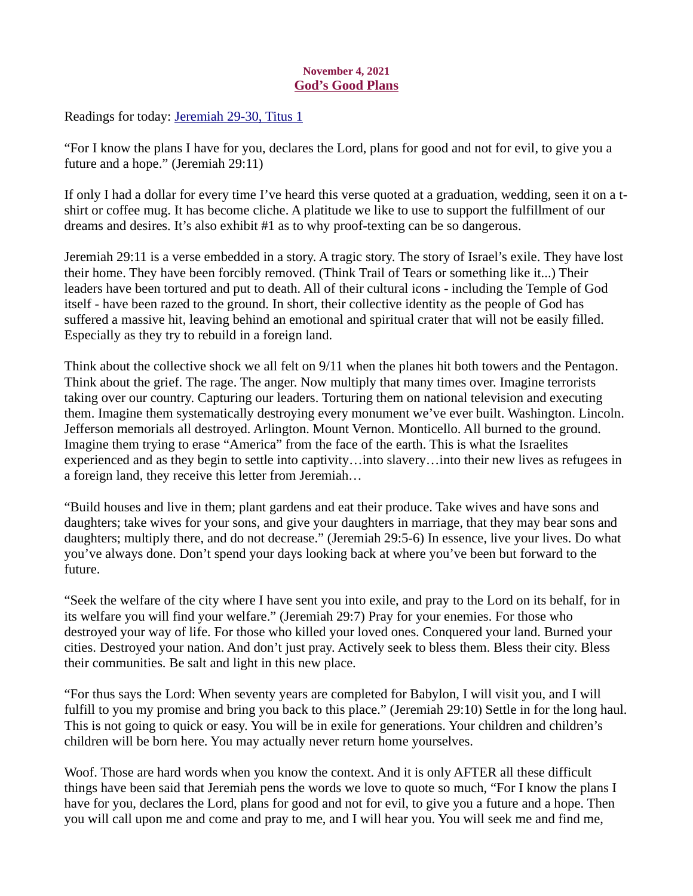# November 4, 2021 God's Good Plans

<span id="page-8-0"></span>Readings for today: [Jeremiah 29-30, Titus 1](https://www.biblegateway.com/passage/?search=Jeremiah+29-30%2C+Titus+1&version=ESV)

"For I know the plans I have for you, declares the Lord, plans for good and not for evil, to give you a future and a hope." (Jeremiah 29:11)

If only I had a dollar for every time I've heard this verse quoted at a graduation, wedding, seen it on a tshirt or coffee mug. It has become cliche. A platitude we like to use to support the fulfillment of our dreams and desires. It's also exhibit #1 as to why proof-texting can be so dangerous.

Jeremiah 29:11 is a verse embedded in a story. A tragic story. The story of Israel's exile. They have lost their home. They have been forcibly removed. (Think Trail of Tears or something like it...) Their leaders have been tortured and put to death. All of their cultural icons - including the Temple of God itself - have been razed to the ground. In short, their collective identity as the people of God has suffered a massive hit, leaving behind an emotional and spiritual crater that will not be easily filled. Especially as they try to rebuild in a foreign land.

Think about the collective shock we all felt on 9/11 when the planes hit both towers and the Pentagon. Think about the grief. The rage. The anger. Now multiply that many times over. Imagine terrorists taking over our country. Capturing our leaders. Torturing them on national television and executing them. Imagine them systematically destroying every monument we've ever built. Washington. Lincoln. Jefferson memorials all destroyed. Arlington. Mount Vernon. Monticello. All burned to the ground. Imagine them trying to erase "America" from the face of the earth. This is what the Israelites experienced and as they begin to settle into captivity…into slavery…into their new lives as refugees in a foreign land, they receive this letter from Jeremiah…

"Build houses and live in them; plant gardens and eat their produce. Take wives and have sons and daughters; take wives for your sons, and give your daughters in marriage, that they may bear sons and daughters; multiply there, and do not decrease." (Jeremiah 29:5-6) In essence, live your lives. Do what you've always done. Don't spend your days looking back at where you've been but forward to the future.

"Seek the welfare of the city where I have sent you into exile, and pray to the Lord on its behalf, for in its welfare you will find your welfare." (Jeremiah 29:7) Pray for your enemies. For those who destroyed your way of life. For those who killed your loved ones. Conquered your land. Burned your cities. Destroyed your nation. And don't just pray. Actively seek to bless them. Bless their city. Bless their communities. Be salt and light in this new place.

"For thus says the Lord: When seventy years are completed for Babylon, I will visit you, and I will fulfill to you my promise and bring you back to this place." (Jeremiah 29:10) Settle in for the long haul. This is not going to quick or easy. You will be in exile for generations. Your children and children's children will be born here. You may actually never return home yourselves.

Woof. Those are hard words when you know the context. And it is only AFTER all these difficult things have been said that Jeremiah pens the words we love to quote so much, "For I know the plans I have for you, declares the Lord, plans for good and not for evil, to give you a future and a hope. Then you will call upon me and come and pray to me, and I will hear you. You will seek me and find me,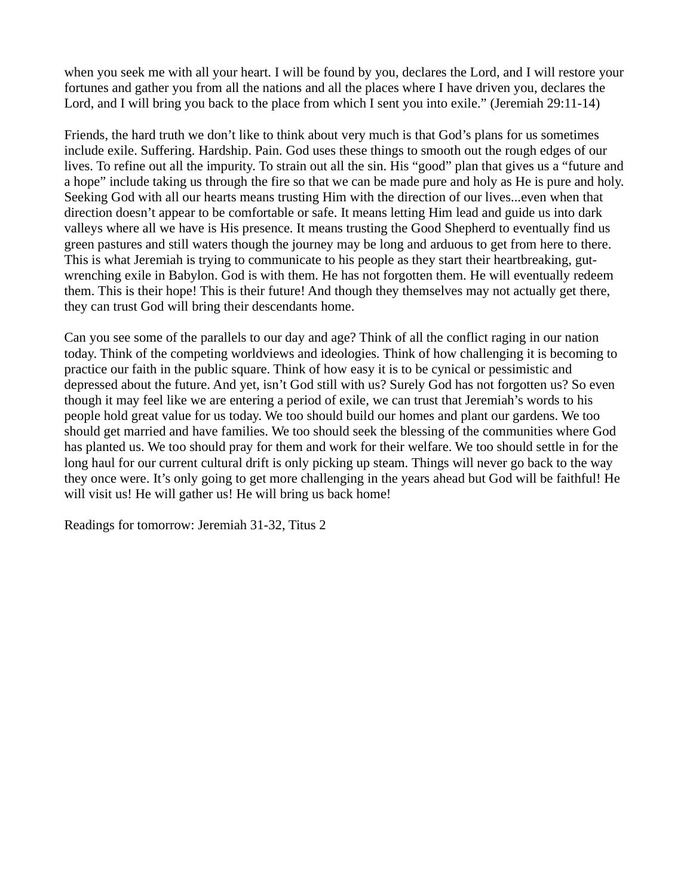when you seek me with all your heart. I will be found by you, declares the Lord, and I will restore your fortunes and gather you from all the nations and all the places where I have driven you, declares the Lord, and I will bring you back to the place from which I sent you into exile." (Jeremiah 29:11-14)

Friends, the hard truth we don't like to think about very much is that God's plans for us sometimes include exile. Suffering. Hardship. Pain. God uses these things to smooth out the rough edges of our lives. To refine out all the impurity. To strain out all the sin. His "good" plan that gives us a "future and a hope" include taking us through the fire so that we can be made pure and holy as He is pure and holy. Seeking God with all our hearts means trusting Him with the direction of our lives...even when that direction doesn't appear to be comfortable or safe. It means letting Him lead and guide us into dark valleys where all we have is His presence. It means trusting the Good Shepherd to eventually find us green pastures and still waters though the journey may be long and arduous to get from here to there. This is what Jeremiah is trying to communicate to his people as they start their heartbreaking, gutwrenching exile in Babylon. God is with them. He has not forgotten them. He will eventually redeem them. This is their hope! This is their future! And though they themselves may not actually get there, they can trust God will bring their descendants home.

Can you see some of the parallels to our day and age? Think of all the conflict raging in our nation today. Think of the competing worldviews and ideologies. Think of how challenging it is becoming to practice our faith in the public square. Think of how easy it is to be cynical or pessimistic and depressed about the future. And yet, isn't God still with us? Surely God has not forgotten us? So even though it may feel like we are entering a period of exile, we can trust that Jeremiah's words to his people hold great value for us today. We too should build our homes and plant our gardens. We too should get married and have families. We too should seek the blessing of the communities where God has planted us. We too should pray for them and work for their welfare. We too should settle in for the long haul for our current cultural drift is only picking up steam. Things will never go back to the way they once were. It's only going to get more challenging in the years ahead but God will be faithful! He will visit us! He will gather us! He will bring us back home!

Readings for tomorrow: Jeremiah 31-32, Titus 2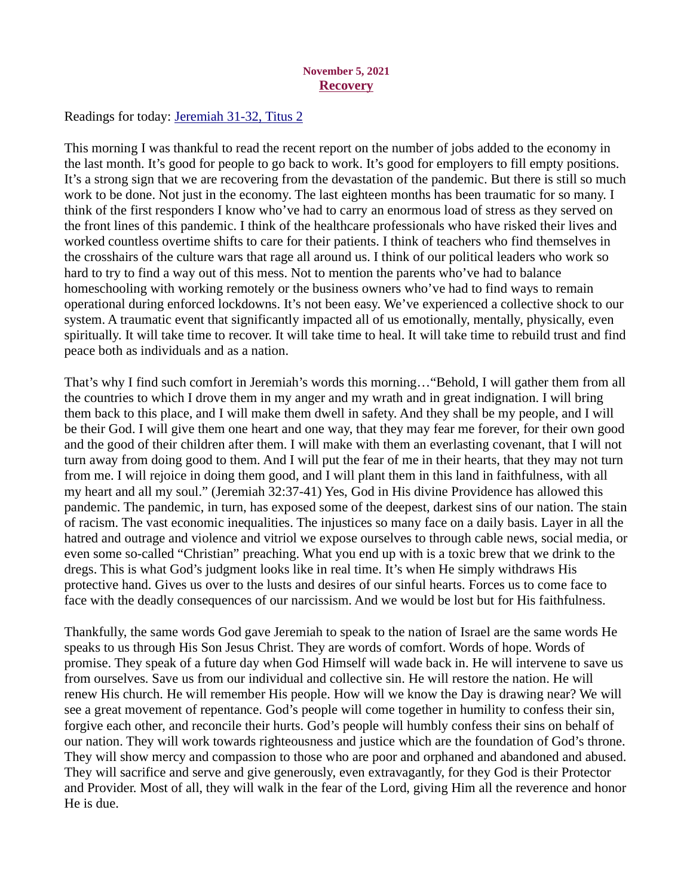#### November 5, 2021 **Recovery**

<span id="page-10-0"></span>Readings for today: [Jeremiah 31-32, Titus 2](https://www.biblegateway.com/passage/?search=Jeremiah+31-32%2C+Titus+2&version=ESV)

This morning I was thankful to read the recent report on the number of jobs added to the economy in the last month. It's good for people to go back to work. It's good for employers to fill empty positions. It's a strong sign that we are recovering from the devastation of the pandemic. But there is still so much work to be done. Not just in the economy. The last eighteen months has been traumatic for so many. I think of the first responders I know who've had to carry an enormous load of stress as they served on the front lines of this pandemic. I think of the healthcare professionals who have risked their lives and worked countless overtime shifts to care for their patients. I think of teachers who find themselves in the crosshairs of the culture wars that rage all around us. I think of our political leaders who work so hard to try to find a way out of this mess. Not to mention the parents who've had to balance homeschooling with working remotely or the business owners who've had to find ways to remain operational during enforced lockdowns. It's not been easy. We've experienced a collective shock to our system. A traumatic event that significantly impacted all of us emotionally, mentally, physically, even spiritually. It will take time to recover. It will take time to heal. It will take time to rebuild trust and find peace both as individuals and as a nation.

That's why I find such comfort in Jeremiah's words this morning…"Behold, I will gather them from all the countries to which I drove them in my anger and my wrath and in great indignation. I will bring them back to this place, and I will make them dwell in safety. And they shall be my people, and I will be their God. I will give them one heart and one way, that they may fear me forever, for their own good and the good of their children after them. I will make with them an everlasting covenant, that I will not turn away from doing good to them. And I will put the fear of me in their hearts, that they may not turn from me. I will rejoice in doing them good, and I will plant them in this land in faithfulness, with all my heart and all my soul." (Jeremiah 32:37-41) Yes, God in His divine Providence has allowed this pandemic. The pandemic, in turn, has exposed some of the deepest, darkest sins of our nation. The stain of racism. The vast economic inequalities. The injustices so many face on a daily basis. Layer in all the hatred and outrage and violence and vitriol we expose ourselves to through cable news, social media, or even some so-called "Christian" preaching. What you end up with is a toxic brew that we drink to the dregs. This is what God's judgment looks like in real time. It's when He simply withdraws His protective hand. Gives us over to the lusts and desires of our sinful hearts. Forces us to come face to face with the deadly consequences of our narcissism. And we would be lost but for His faithfulness.

Thankfully, the same words God gave Jeremiah to speak to the nation of Israel are the same words He speaks to us through His Son Jesus Christ. They are words of comfort. Words of hope. Words of promise. They speak of a future day when God Himself will wade back in. He will intervene to save us from ourselves. Save us from our individual and collective sin. He will restore the nation. He will renew His church. He will remember His people. How will we know the Day is drawing near? We will see a great movement of repentance. God's people will come together in humility to confess their sin, forgive each other, and reconcile their hurts. God's people will humbly confess their sins on behalf of our nation. They will work towards righteousness and justice which are the foundation of God's throne. They will show mercy and compassion to those who are poor and orphaned and abandoned and abused. They will sacrifice and serve and give generously, even extravagantly, for they God is their Protector and Provider. Most of all, they will walk in the fear of the Lord, giving Him all the reverence and honor He is due.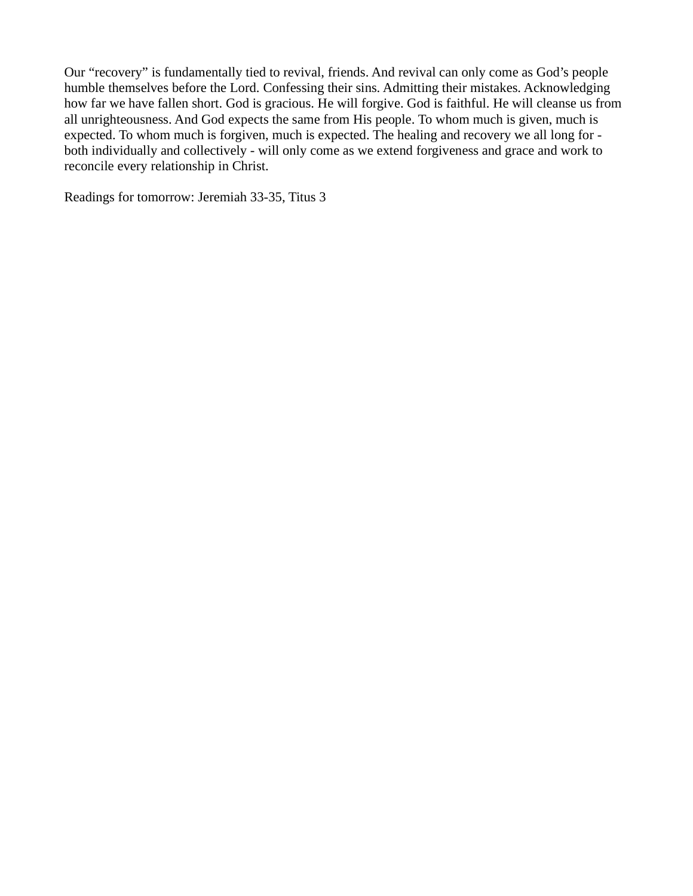Our "recovery" is fundamentally tied to revival, friends. And revival can only come as God's people humble themselves before the Lord. Confessing their sins. Admitting their mistakes. Acknowledging how far we have fallen short. God is gracious. He will forgive. God is faithful. He will cleanse us from all unrighteousness. And God expects the same from His people. To whom much is given, much is expected. To whom much is forgiven, much is expected. The healing and recovery we all long for both individually and collectively - will only come as we extend forgiveness and grace and work to reconcile every relationship in Christ.

Readings for tomorrow: Jeremiah 33-35, Titus 3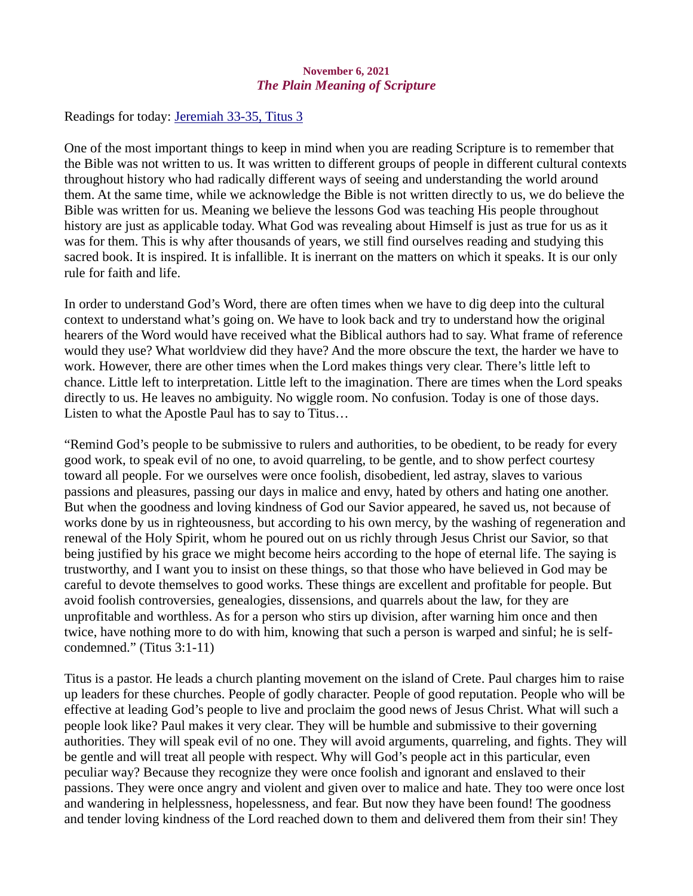# November 6, 2021 The Plain Meaning of Scripture

<span id="page-12-0"></span>Readings for today: [Jeremiah 33-35, Titus 3](https://www.biblegateway.com/passage/?search=Jeremiah+33-35%2C+Titus+3&version=ESV)

One of the most important things to keep in mind when you are reading Scripture is to remember that the Bible was not written to us. It was written to different groups of people in different cultural contexts throughout history who had radically different ways of seeing and understanding the world around them. At the same time, while we acknowledge the Bible is not written directly to us, we do believe the Bible was written for us. Meaning we believe the lessons God was teaching His people throughout history are just as applicable today. What God was revealing about Himself is just as true for us as it was for them. This is why after thousands of years, we still find ourselves reading and studying this sacred book. It is inspired. It is infallible. It is inerrant on the matters on which it speaks. It is our only rule for faith and life.

In order to understand God's Word, there are often times when we have to dig deep into the cultural context to understand what's going on. We have to look back and try to understand how the original hearers of the Word would have received what the Biblical authors had to say. What frame of reference would they use? What worldview did they have? And the more obscure the text, the harder we have to work. However, there are other times when the Lord makes things very clear. There's little left to chance. Little left to interpretation. Little left to the imagination. There are times when the Lord speaks directly to us. He leaves no ambiguity. No wiggle room. No confusion. Today is one of those days. Listen to what the Apostle Paul has to say to Titus…

"Remind God's people to be submissive to rulers and authorities, to be obedient, to be ready for every good work, to speak evil of no one, to avoid quarreling, to be gentle, and to show perfect courtesy toward all people. For we ourselves were once foolish, disobedient, led astray, slaves to various passions and pleasures, passing our days in malice and envy, hated by others and hating one another. But when the goodness and loving kindness of God our Savior appeared, he saved us, not because of works done by us in righteousness, but according to his own mercy, by the washing of regeneration and renewal of the Holy Spirit, whom he poured out on us richly through Jesus Christ our Savior, so that being justified by his grace we might become heirs according to the hope of eternal life. The saying is trustworthy, and I want you to insist on these things, so that those who have believed in God may be careful to devote themselves to good works. These things are excellent and profitable for people. But avoid foolish controversies, genealogies, dissensions, and quarrels about the law, for they are unprofitable and worthless. As for a person who stirs up division, after warning him once and then twice, have nothing more to do with him, knowing that such a person is warped and sinful; he is selfcondemned." (Titus 3:1-11)

Titus is a pastor. He leads a church planting movement on the island of Crete. Paul charges him to raise up leaders for these churches. People of godly character. People of good reputation. People who will be effective at leading God's people to live and proclaim the good news of Jesus Christ. What will such a people look like? Paul makes it very clear. They will be humble and submissive to their governing authorities. They will speak evil of no one. They will avoid arguments, quarreling, and fights. They will be gentle and will treat all people with respect. Why will God's people act in this particular, even peculiar way? Because they recognize they were once foolish and ignorant and enslaved to their passions. They were once angry and violent and given over to malice and hate. They too were once lost and wandering in helplessness, hopelessness, and fear. But now they have been found! The goodness and tender loving kindness of the Lord reached down to them and delivered them from their sin! They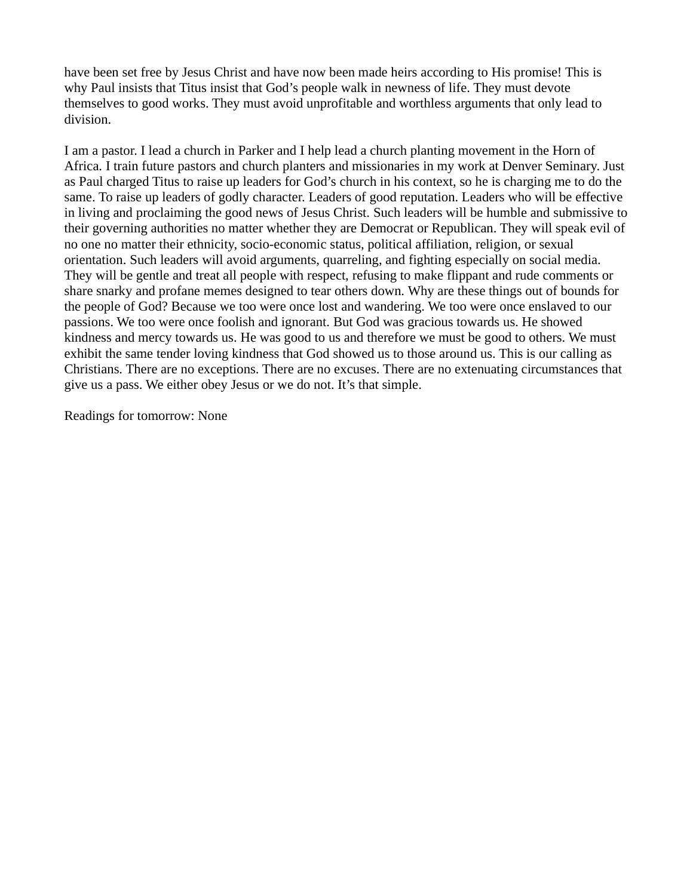have been set free by Jesus Christ and have now been made heirs according to His promise! This is why Paul insists that Titus insist that God's people walk in newness of life. They must devote themselves to good works. They must avoid unprofitable and worthless arguments that only lead to division.

I am a pastor. I lead a church in Parker and I help lead a church planting movement in the Horn of Africa. I train future pastors and church planters and missionaries in my work at Denver Seminary. Just as Paul charged Titus to raise up leaders for God's church in his context, so he is charging me to do the same. To raise up leaders of godly character. Leaders of good reputation. Leaders who will be effective in living and proclaiming the good news of Jesus Christ. Such leaders will be humble and submissive to their governing authorities no matter whether they are Democrat or Republican. They will speak evil of no one no matter their ethnicity, socio-economic status, political affiliation, religion, or sexual orientation. Such leaders will avoid arguments, quarreling, and fighting especially on social media. They will be gentle and treat all people with respect, refusing to make flippant and rude comments or share snarky and profane memes designed to tear others down. Why are these things out of bounds for the people of God? Because we too were once lost and wandering. We too were once enslaved to our passions. We too were once foolish and ignorant. But God was gracious towards us. He showed kindness and mercy towards us. He was good to us and therefore we must be good to others. We must exhibit the same tender loving kindness that God showed us to those around us. This is our calling as Christians. There are no exceptions. There are no excuses. There are no extenuating circumstances that give us a pass. We either obey Jesus or we do not. It's that simple.

Readings for tomorrow: None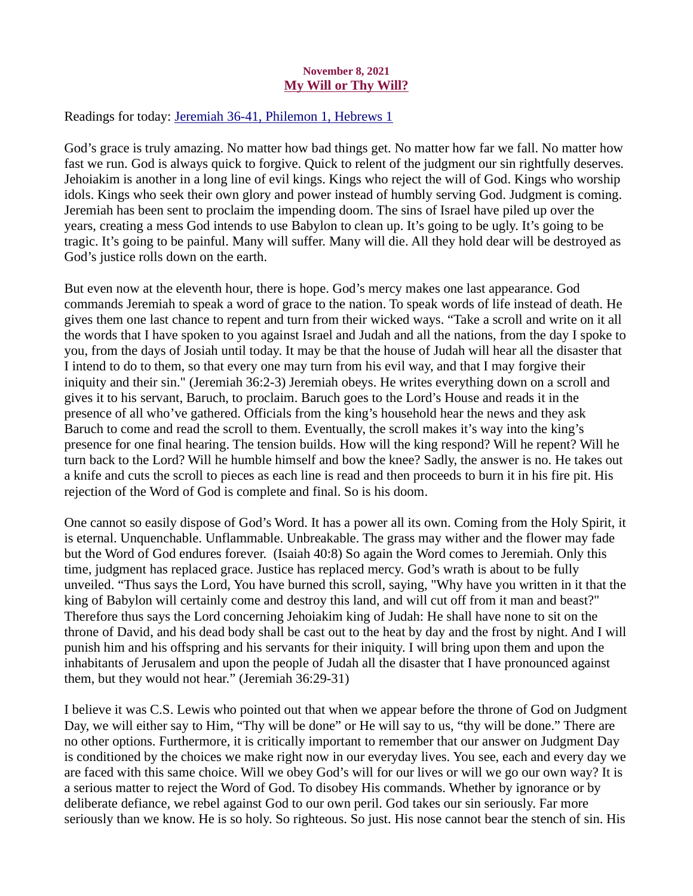#### November 8, 2021 My Will or Thy Will?

<span id="page-14-0"></span>Readings for today[: Jeremiah 36-41, Philemon 1, Hebrews 1](https://www.biblegateway.com/passage/?search=Jeremiah+36-41%2C+Philemon+1%2C+Hebrews+1&version=ESV)

God's grace is truly amazing. No matter how bad things get. No matter how far we fall. No matter how fast we run. God is always quick to forgive. Quick to relent of the judgment our sin rightfully deserves. Jehoiakim is another in a long line of evil kings. Kings who reject the will of God. Kings who worship idols. Kings who seek their own glory and power instead of humbly serving God. Judgment is coming. Jeremiah has been sent to proclaim the impending doom. The sins of Israel have piled up over the years, creating a mess God intends to use Babylon to clean up. It's going to be ugly. It's going to be tragic. It's going to be painful. Many will suffer. Many will die. All they hold dear will be destroyed as God's justice rolls down on the earth.

But even now at the eleventh hour, there is hope. God's mercy makes one last appearance. God commands Jeremiah to speak a word of grace to the nation. To speak words of life instead of death. He gives them one last chance to repent and turn from their wicked ways. "Take a scroll and write on it all the words that I have spoken to you against Israel and Judah and all the nations, from the day I spoke to you, from the days of Josiah until today. It may be that the house of Judah will hear all the disaster that I intend to do to them, so that every one may turn from his evil way, and that I may forgive their iniquity and their sin." (Jeremiah 36:2-3) Jeremiah obeys. He writes everything down on a scroll and gives it to his servant, Baruch, to proclaim. Baruch goes to the Lord's House and reads it in the presence of all who've gathered. Officials from the king's household hear the news and they ask Baruch to come and read the scroll to them. Eventually, the scroll makes it's way into the king's presence for one final hearing. The tension builds. How will the king respond? Will he repent? Will he turn back to the Lord? Will he humble himself and bow the knee? Sadly, the answer is no. He takes out a knife and cuts the scroll to pieces as each line is read and then proceeds to burn it in his fire pit. His rejection of the Word of God is complete and final. So is his doom.

One cannot so easily dispose of God's Word. It has a power all its own. Coming from the Holy Spirit, it is eternal. Unquenchable. Unflammable. Unbreakable. The grass may wither and the flower may fade but the Word of God endures forever. (Isaiah 40:8) So again the Word comes to Jeremiah. Only this time, judgment has replaced grace. Justice has replaced mercy. God's wrath is about to be fully unveiled. "Thus says the Lord, You have burned this scroll, saying, "Why have you written in it that the king of Babylon will certainly come and destroy this land, and will cut off from it man and beast?" Therefore thus says the Lord concerning Jehoiakim king of Judah: He shall have none to sit on the throne of David, and his dead body shall be cast out to the heat by day and the frost by night. And I will punish him and his offspring and his servants for their iniquity. I will bring upon them and upon the inhabitants of Jerusalem and upon the people of Judah all the disaster that I have pronounced against them, but they would not hear." (Jeremiah 36:29-31)

I believe it was C.S. Lewis who pointed out that when we appear before the throne of God on Judgment Day, we will either say to Him, "Thy will be done" or He will say to us, "thy will be done." There are no other options. Furthermore, it is critically important to remember that our answer on Judgment Day is conditioned by the choices we make right now in our everyday lives. You see, each and every day we are faced with this same choice. Will we obey God's will for our lives or will we go our own way? It is a serious matter to reject the Word of God. To disobey His commands. Whether by ignorance or by deliberate defiance, we rebel against God to our own peril. God takes our sin seriously. Far more seriously than we know. He is so holy. So righteous. So just. His nose cannot bear the stench of sin. His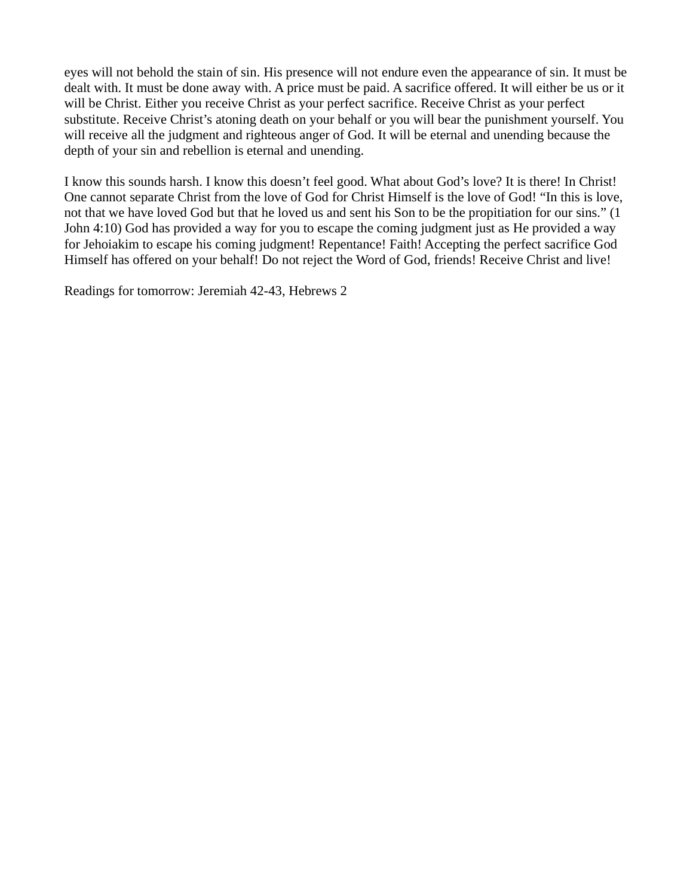eyes will not behold the stain of sin. His presence will not endure even the appearance of sin. It must be dealt with. It must be done away with. A price must be paid. A sacrifice offered. It will either be us or it will be Christ. Either you receive Christ as your perfect sacrifice. Receive Christ as your perfect substitute. Receive Christ's atoning death on your behalf or you will bear the punishment yourself. You will receive all the judgment and righteous anger of God. It will be eternal and unending because the depth of your sin and rebellion is eternal and unending.

I know this sounds harsh. I know this doesn't feel good. What about God's love? It is there! In Christ! One cannot separate Christ from the love of God for Christ Himself is the love of God! "In this is love, not that we have loved God but that he loved us and sent his Son to be the propitiation for our sins." (1 John 4:10) God has provided a way for you to escape the coming judgment just as He provided a way for Jehoiakim to escape his coming judgment! Repentance! Faith! Accepting the perfect sacrifice God Himself has offered on your behalf! Do not reject the Word of God, friends! Receive Christ and live!

Readings for tomorrow: Jeremiah 42-43, Hebrews 2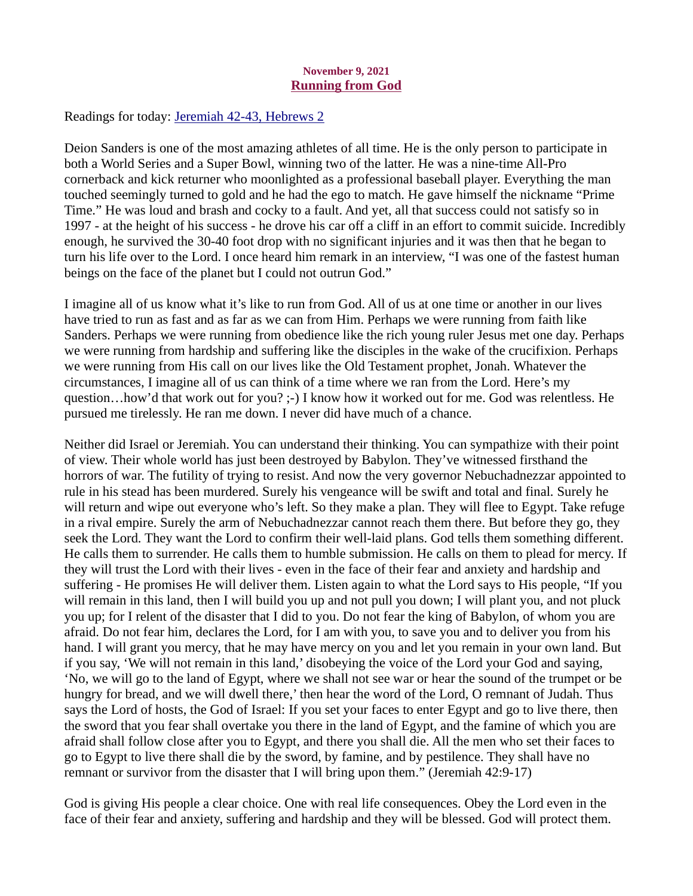#### November 9, 2021 Running from God

<span id="page-16-0"></span>Readings for today[: Jeremiah 42-43, Hebrews 2](https://www.biblegateway.com/passage/?search=Jeremiah+42-43%2C+Hebrews+2&version=ESV)

Deion Sanders is one of the most amazing athletes of all time. He is the only person to participate in both a World Series and a Super Bowl, winning two of the latter. He was a nine-time All-Pro cornerback and kick returner who moonlighted as a professional baseball player. Everything the man touched seemingly turned to gold and he had the ego to match. He gave himself the nickname "Prime Time." He was loud and brash and cocky to a fault. And yet, all that success could not satisfy so in 1997 - at the height of his success - he drove his car off a cliff in an effort to commit suicide. Incredibly enough, he survived the 30-40 foot drop with no significant injuries and it was then that he began to turn his life over to the Lord. I once heard him remark in an interview, "I was one of the fastest human beings on the face of the planet but I could not outrun God."

I imagine all of us know what it's like to run from God. All of us at one time or another in our lives have tried to run as fast and as far as we can from Him. Perhaps we were running from faith like Sanders. Perhaps we were running from obedience like the rich young ruler Jesus met one day. Perhaps we were running from hardship and suffering like the disciples in the wake of the crucifixion. Perhaps we were running from His call on our lives like the Old Testament prophet, Jonah. Whatever the circumstances, I imagine all of us can think of a time where we ran from the Lord. Here's my question…how'd that work out for you? ;-) I know how it worked out for me. God was relentless. He pursued me tirelessly. He ran me down. I never did have much of a chance.

Neither did Israel or Jeremiah. You can understand their thinking. You can sympathize with their point of view. Their whole world has just been destroyed by Babylon. They've witnessed firsthand the horrors of war. The futility of trying to resist. And now the very governor Nebuchadnezzar appointed to rule in his stead has been murdered. Surely his vengeance will be swift and total and final. Surely he will return and wipe out everyone who's left. So they make a plan. They will flee to Egypt. Take refuge in a rival empire. Surely the arm of Nebuchadnezzar cannot reach them there. But before they go, they seek the Lord. They want the Lord to confirm their well-laid plans. God tells them something different. He calls them to surrender. He calls them to humble submission. He calls on them to plead for mercy. If they will trust the Lord with their lives - even in the face of their fear and anxiety and hardship and suffering - He promises He will deliver them. Listen again to what the Lord says to His people, "If you will remain in this land, then I will build you up and not pull you down; I will plant you, and not pluck you up; for I relent of the disaster that I did to you. Do not fear the king of Babylon, of whom you are afraid. Do not fear him, declares the Lord, for I am with you, to save you and to deliver you from his hand. I will grant you mercy, that he may have mercy on you and let you remain in your own land. But if you say, 'We will not remain in this land,' disobeying the voice of the Lord your God and saying, 'No, we will go to the land of Egypt, where we shall not see war or hear the sound of the trumpet or be hungry for bread, and we will dwell there,' then hear the word of the Lord, O remnant of Judah. Thus says the Lord of hosts, the God of Israel: If you set your faces to enter Egypt and go to live there, then the sword that you fear shall overtake you there in the land of Egypt, and the famine of which you are afraid shall follow close after you to Egypt, and there you shall die. All the men who set their faces to go to Egypt to live there shall die by the sword, by famine, and by pestilence. They shall have no remnant or survivor from the disaster that I will bring upon them." (Jeremiah 42:9-17)

God is giving His people a clear choice. One with real life consequences. Obey the Lord even in the face of their fear and anxiety, suffering and hardship and they will be blessed. God will protect them.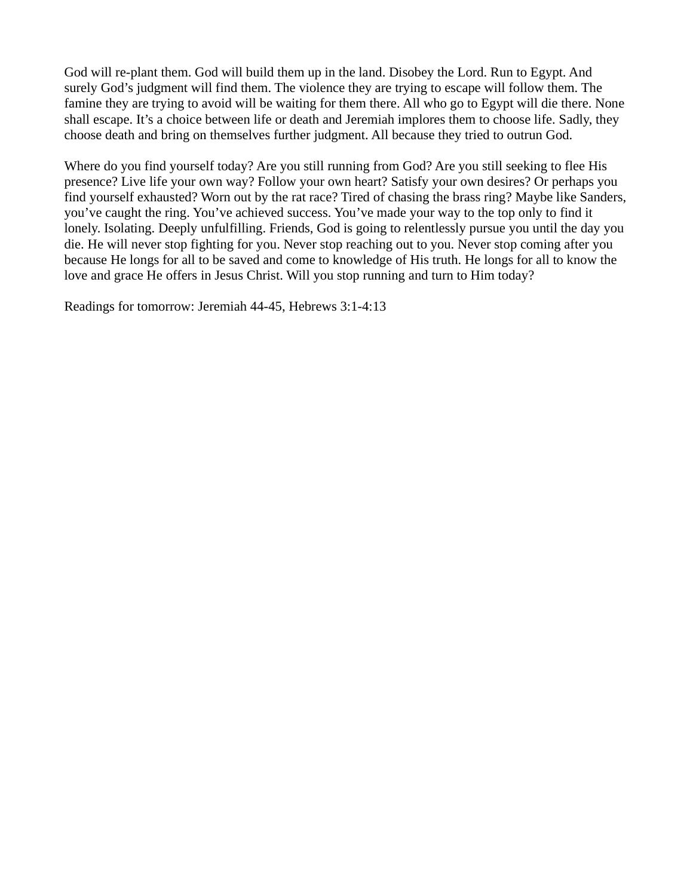God will re-plant them. God will build them up in the land. Disobey the Lord. Run to Egypt. And surely God's judgment will find them. The violence they are trying to escape will follow them. The famine they are trying to avoid will be waiting for them there. All who go to Egypt will die there. None shall escape. It's a choice between life or death and Jeremiah implores them to choose life. Sadly, they choose death and bring on themselves further judgment. All because they tried to outrun God.

Where do you find yourself today? Are you still running from God? Are you still seeking to flee His presence? Live life your own way? Follow your own heart? Satisfy your own desires? Or perhaps you find yourself exhausted? Worn out by the rat race? Tired of chasing the brass ring? Maybe like Sanders, you've caught the ring. You've achieved success. You've made your way to the top only to find it lonely. Isolating. Deeply unfulfilling. Friends, God is going to relentlessly pursue you until the day you die. He will never stop fighting for you. Never stop reaching out to you. Never stop coming after you because He longs for all to be saved and come to knowledge of His truth. He longs for all to know the love and grace He offers in Jesus Christ. Will you stop running and turn to Him today?

Readings for tomorrow: Jeremiah 44-45, Hebrews 3:1-4:13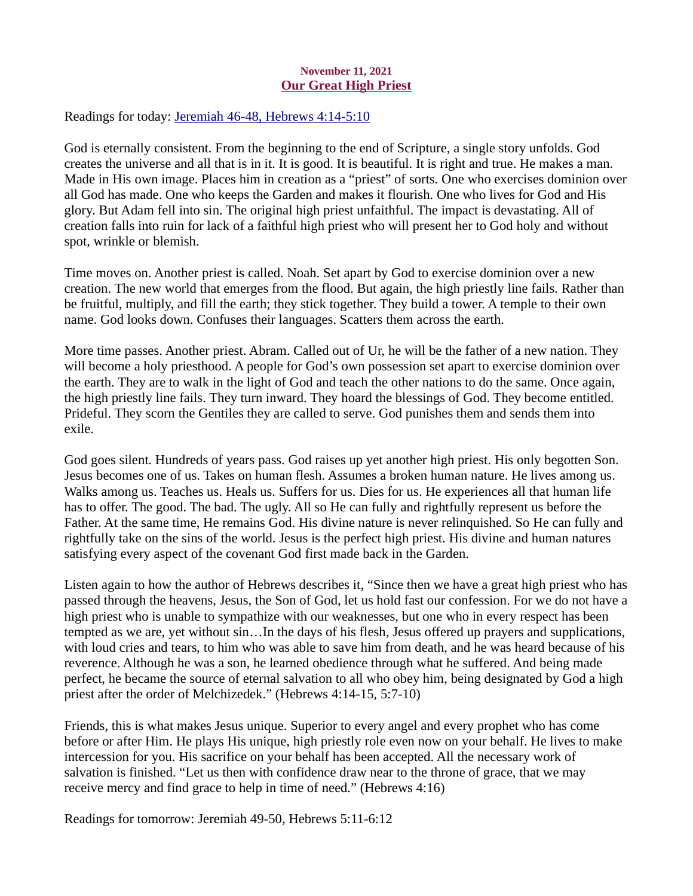#### November 11, 2021 Our Great High Priest

<span id="page-18-0"></span>Readings for today[: Jeremiah 46-48, Hebrews 4:14-5:10](https://www.biblegateway.com/passage/?search=Jeremiah+46-48%2C+Hebrews+4%3A14-5%3A10&version=ESV)

God is eternally consistent. From the beginning to the end of Scripture, a single story unfolds. God creates the universe and all that is in it. It is good. It is beautiful. It is right and true. He makes a man. Made in His own image. Places him in creation as a "priest" of sorts. One who exercises dominion over all God has made. One who keeps the Garden and makes it flourish. One who lives for God and His glory. But Adam fell into sin. The original high priest unfaithful. The impact is devastating. All of creation falls into ruin for lack of a faithful high priest who will present her to God holy and without spot, wrinkle or blemish.

Time moves on. Another priest is called. Noah. Set apart by God to exercise dominion over a new creation. The new world that emerges from the flood. But again, the high priestly line fails. Rather than be fruitful, multiply, and fill the earth; they stick together. They build a tower. A temple to their own name. God looks down. Confuses their languages. Scatters them across the earth.

More time passes. Another priest. Abram. Called out of Ur, he will be the father of a new nation. They will become a holy priesthood. A people for God's own possession set apart to exercise dominion over the earth. They are to walk in the light of God and teach the other nations to do the same. Once again, the high priestly line fails. They turn inward. They hoard the blessings of God. They become entitled. Prideful. They scorn the Gentiles they are called to serve. God punishes them and sends them into exile.

God goes silent. Hundreds of years pass. God raises up yet another high priest. His only begotten Son. Jesus becomes one of us. Takes on human flesh. Assumes a broken human nature. He lives among us. Walks among us. Teaches us. Heals us. Suffers for us. Dies for us. He experiences all that human life has to offer. The good. The bad. The ugly. All so He can fully and rightfully represent us before the Father. At the same time, He remains God. His divine nature is never relinquished. So He can fully and rightfully take on the sins of the world. Jesus is the perfect high priest. His divine and human natures satisfying every aspect of the covenant God first made back in the Garden.

Listen again to how the author of Hebrews describes it, "Since then we have a great high priest who has passed through the heavens, Jesus, the Son of God, let us hold fast our confession. For we do not have a high priest who is unable to sympathize with our weaknesses, but one who in every respect has been tempted as we are, yet without sin…In the days of his flesh, Jesus offered up prayers and supplications, with loud cries and tears, to him who was able to save him from death, and he was heard because of his reverence. Although he was a son, he learned obedience through what he suffered. And being made perfect, he became the source of eternal salvation to all who obey him, being designated by God a high priest after the order of Melchizedek." (Hebrews 4:14-15, 5:7-10)

Friends, this is what makes Jesus unique. Superior to every angel and every prophet who has come before or after Him. He plays His unique, high priestly role even now on your behalf. He lives to make intercession for you. His sacrifice on your behalf has been accepted. All the necessary work of salvation is finished. "Let us then with confidence draw near to the throne of grace, that we may receive mercy and find grace to help in time of need." (Hebrews 4:16)

Readings for tomorrow: Jeremiah 49-50, Hebrews 5:11-6:12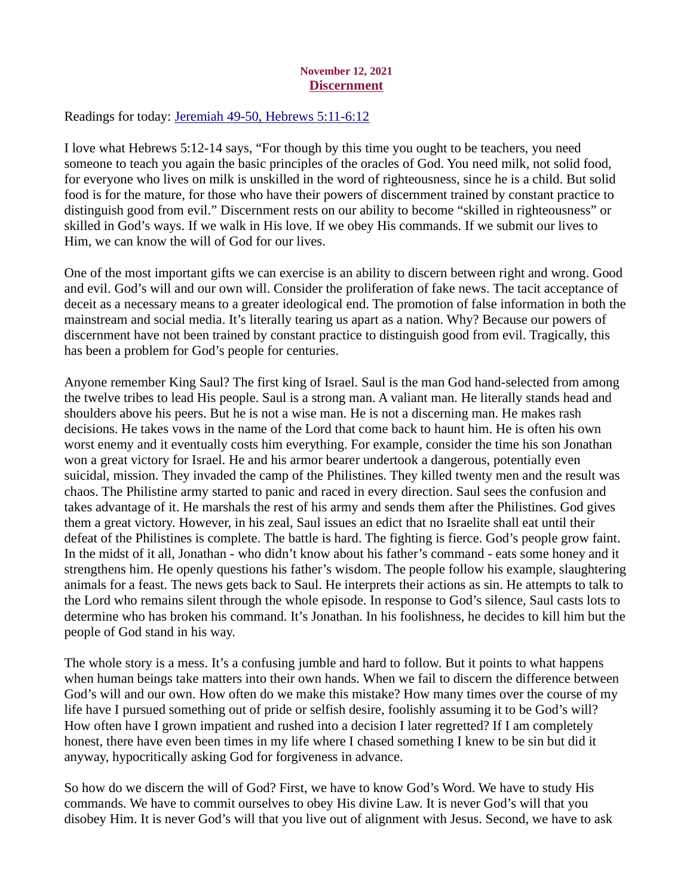# November 12, 2021 Discernment

<span id="page-19-0"></span>Readings for today[: Jeremiah 49-50, Hebrews 5:11-6:12](https://www.biblegateway.com/passage/?search=Jeremiah+49-50%2C+Hebrews+5%3A11-6%3A12&version=ESV)

I love what Hebrews 5:12-14 says, "For though by this time you ought to be teachers, you need someone to teach you again the basic principles of the oracles of God. You need milk, not solid food, for everyone who lives on milk is unskilled in the word of righteousness, since he is a child. But solid food is for the mature, for those who have their powers of discernment trained by constant practice to distinguish good from evil." Discernment rests on our ability to become "skilled in righteousness" or skilled in God's ways. If we walk in His love. If we obey His commands. If we submit our lives to Him, we can know the will of God for our lives.

One of the most important gifts we can exercise is an ability to discern between right and wrong. Good and evil. God's will and our own will. Consider the proliferation of fake news. The tacit acceptance of deceit as a necessary means to a greater ideological end. The promotion of false information in both the mainstream and social media. It's literally tearing us apart as a nation. Why? Because our powers of discernment have not been trained by constant practice to distinguish good from evil. Tragically, this has been a problem for God's people for centuries.

Anyone remember King Saul? The first king of Israel. Saul is the man God hand-selected from among the twelve tribes to lead His people. Saul is a strong man. A valiant man. He literally stands head and shoulders above his peers. But he is not a wise man. He is not a discerning man. He makes rash decisions. He takes vows in the name of the Lord that come back to haunt him. He is often his own worst enemy and it eventually costs him everything. For example, consider the time his son Jonathan won a great victory for Israel. He and his armor bearer undertook a dangerous, potentially even suicidal, mission. They invaded the camp of the Philistines. They killed twenty men and the result was chaos. The Philistine army started to panic and raced in every direction. Saul sees the confusion and takes advantage of it. He marshals the rest of his army and sends them after the Philistines. God gives them a great victory. However, in his zeal, Saul issues an edict that no Israelite shall eat until their defeat of the Philistines is complete. The battle is hard. The fighting is fierce. God's people grow faint. In the midst of it all, Jonathan - who didn't know about his father's command - eats some honey and it strengthens him. He openly questions his father's wisdom. The people follow his example, slaughtering animals for a feast. The news gets back to Saul. He interprets their actions as sin. He attempts to talk to the Lord who remains silent through the whole episode. In response to God's silence, Saul casts lots to determine who has broken his command. It's Jonathan. In his foolishness, he decides to kill him but the people of God stand in his way.

The whole story is a mess. It's a confusing jumble and hard to follow. But it points to what happens when human beings take matters into their own hands. When we fail to discern the difference between God's will and our own. How often do we make this mistake? How many times over the course of my life have I pursued something out of pride or selfish desire, foolishly assuming it to be God's will? How often have I grown impatient and rushed into a decision I later regretted? If I am completely honest, there have even been times in my life where I chased something I knew to be sin but did it anyway, hypocritically asking God for forgiveness in advance.

So how do we discern the will of God? First, we have to know God's Word. We have to study His commands. We have to commit ourselves to obey His divine Law. It is never God's will that you disobey Him. It is never God's will that you live out of alignment with Jesus. Second, we have to ask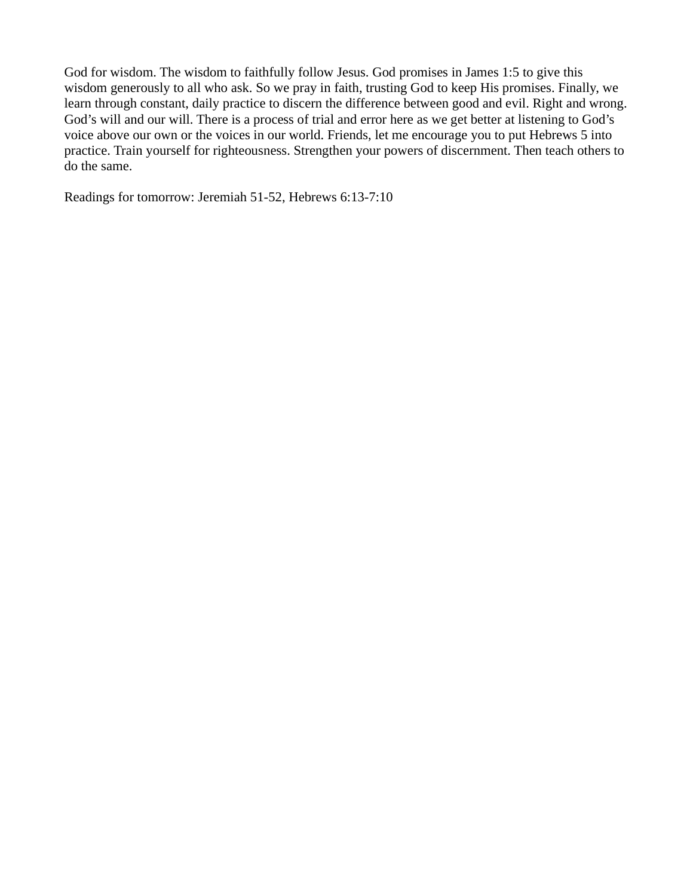God for wisdom. The wisdom to faithfully follow Jesus. God promises in James 1:5 to give this wisdom generously to all who ask. So we pray in faith, trusting God to keep His promises. Finally, we learn through constant, daily practice to discern the difference between good and evil. Right and wrong. God's will and our will. There is a process of trial and error here as we get better at listening to God's voice above our own or the voices in our world. Friends, let me encourage you to put Hebrews 5 into practice. Train yourself for righteousness. Strengthen your powers of discernment. Then teach others to do the same.

Readings for tomorrow: Jeremiah 51-52, Hebrews 6:13-7:10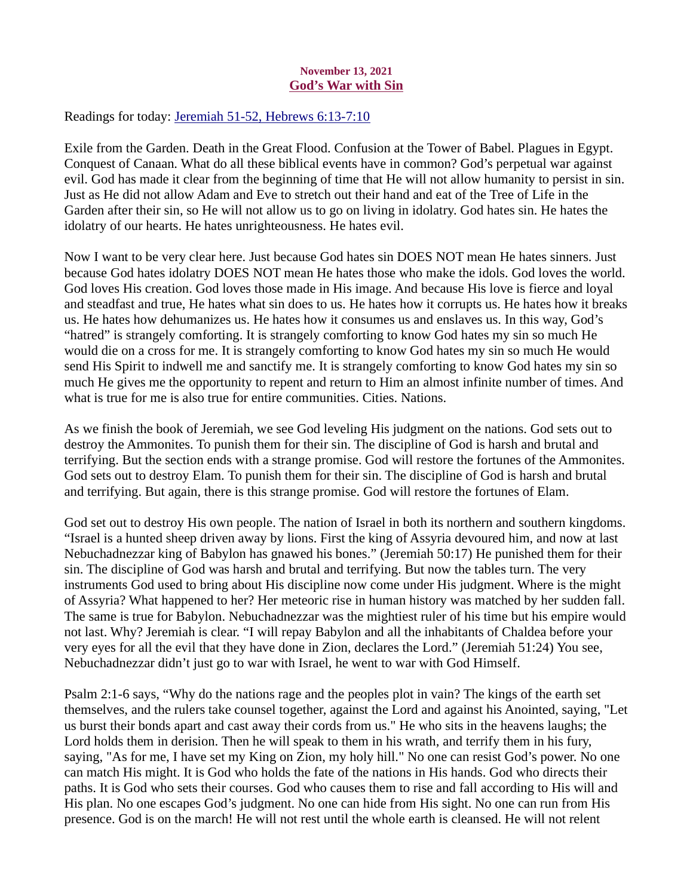## November 13, 2021 God's War with Sin

<span id="page-21-0"></span>Readings for today: [Jeremiah 51-52, Hebrews 6:13-7:10](https://www.biblegateway.com/passage/?search=Jeremiah+51-52%2C+Hebrews+6%3A13-7%3A10&version=ESV)

Exile from the Garden. Death in the Great Flood. Confusion at the Tower of Babel. Plagues in Egypt. Conquest of Canaan. What do all these biblical events have in common? God's perpetual war against evil. God has made it clear from the beginning of time that He will not allow humanity to persist in sin. Just as He did not allow Adam and Eve to stretch out their hand and eat of the Tree of Life in the Garden after their sin, so He will not allow us to go on living in idolatry. God hates sin. He hates the idolatry of our hearts. He hates unrighteousness. He hates evil.

Now I want to be very clear here. Just because God hates sin DOES NOT mean He hates sinners. Just because God hates idolatry DOES NOT mean He hates those who make the idols. God loves the world. God loves His creation. God loves those made in His image. And because His love is fierce and loyal and steadfast and true, He hates what sin does to us. He hates how it corrupts us. He hates how it breaks us. He hates how dehumanizes us. He hates how it consumes us and enslaves us. In this way, God's "hatred" is strangely comforting. It is strangely comforting to know God hates my sin so much He would die on a cross for me. It is strangely comforting to know God hates my sin so much He would send His Spirit to indwell me and sanctify me. It is strangely comforting to know God hates my sin so much He gives me the opportunity to repent and return to Him an almost infinite number of times. And what is true for me is also true for entire communities. Cities. Nations.

As we finish the book of Jeremiah, we see God leveling His judgment on the nations. God sets out to destroy the Ammonites. To punish them for their sin. The discipline of God is harsh and brutal and terrifying. But the section ends with a strange promise. God will restore the fortunes of the Ammonites. God sets out to destroy Elam. To punish them for their sin. The discipline of God is harsh and brutal and terrifying. But again, there is this strange promise. God will restore the fortunes of Elam.

God set out to destroy His own people. The nation of Israel in both its northern and southern kingdoms. "Israel is a hunted sheep driven away by lions. First the king of Assyria devoured him, and now at last Nebuchadnezzar king of Babylon has gnawed his bones." (Jeremiah 50:17) He punished them for their sin. The discipline of God was harsh and brutal and terrifying. But now the tables turn. The very instruments God used to bring about His discipline now come under His judgment. Where is the might of Assyria? What happened to her? Her meteoric rise in human history was matched by her sudden fall. The same is true for Babylon. Nebuchadnezzar was the mightiest ruler of his time but his empire would not last. Why? Jeremiah is clear. "I will repay Babylon and all the inhabitants of Chaldea before your very eyes for all the evil that they have done in Zion, declares the Lord." (Jeremiah 51:24) You see, Nebuchadnezzar didn't just go to war with Israel, he went to war with God Himself.

Psalm 2:1-6 says, "Why do the nations rage and the peoples plot in vain? The kings of the earth set themselves, and the rulers take counsel together, against the Lord and against his Anointed, saying, "Let us burst their bonds apart and cast away their cords from us." He who sits in the heavens laughs; the Lord holds them in derision. Then he will speak to them in his wrath, and terrify them in his fury, saying, "As for me, I have set my King on Zion, my holy hill." No one can resist God's power. No one can match His might. It is God who holds the fate of the nations in His hands. God who directs their paths. It is God who sets their courses. God who causes them to rise and fall according to His will and His plan. No one escapes God's judgment. No one can hide from His sight. No one can run from His presence. God is on the march! He will not rest until the whole earth is cleansed. He will not relent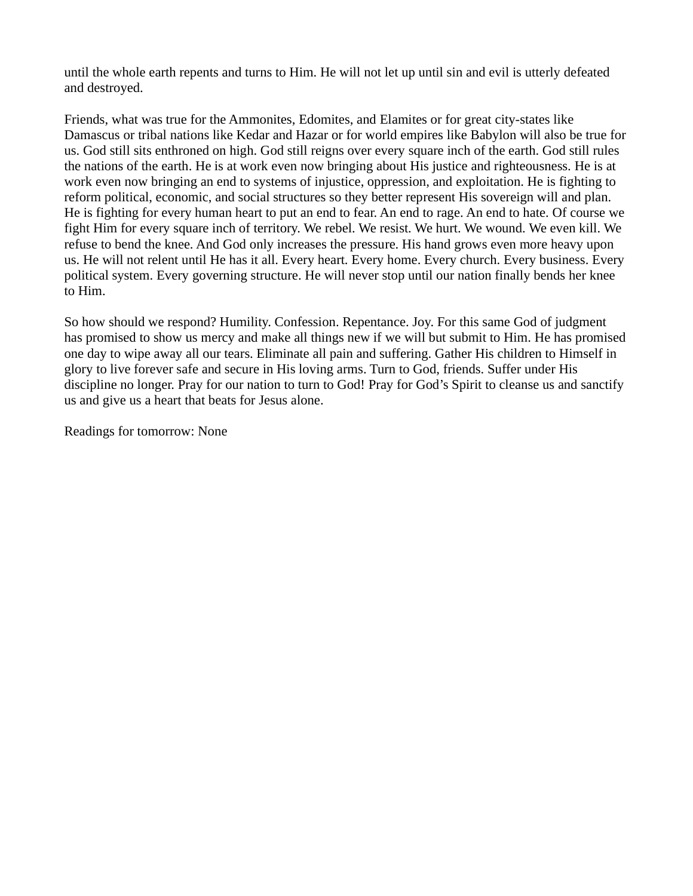until the whole earth repents and turns to Him. He will not let up until sin and evil is utterly defeated and destroyed.

Friends, what was true for the Ammonites, Edomites, and Elamites or for great city-states like Damascus or tribal nations like Kedar and Hazar or for world empires like Babylon will also be true for us. God still sits enthroned on high. God still reigns over every square inch of the earth. God still rules the nations of the earth. He is at work even now bringing about His justice and righteousness. He is at work even now bringing an end to systems of injustice, oppression, and exploitation. He is fighting to reform political, economic, and social structures so they better represent His sovereign will and plan. He is fighting for every human heart to put an end to fear. An end to rage. An end to hate. Of course we fight Him for every square inch of territory. We rebel. We resist. We hurt. We wound. We even kill. We refuse to bend the knee. And God only increases the pressure. His hand grows even more heavy upon us. He will not relent until He has it all. Every heart. Every home. Every church. Every business. Every political system. Every governing structure. He will never stop until our nation finally bends her knee to Him.

So how should we respond? Humility. Confession. Repentance. Joy. For this same God of judgment has promised to show us mercy and make all things new if we will but submit to Him. He has promised one day to wipe away all our tears. Eliminate all pain and suffering. Gather His children to Himself in glory to live forever safe and secure in His loving arms. Turn to God, friends. Suffer under His discipline no longer. Pray for our nation to turn to God! Pray for God's Spirit to cleanse us and sanctify us and give us a heart that beats for Jesus alone.

Readings for tomorrow: None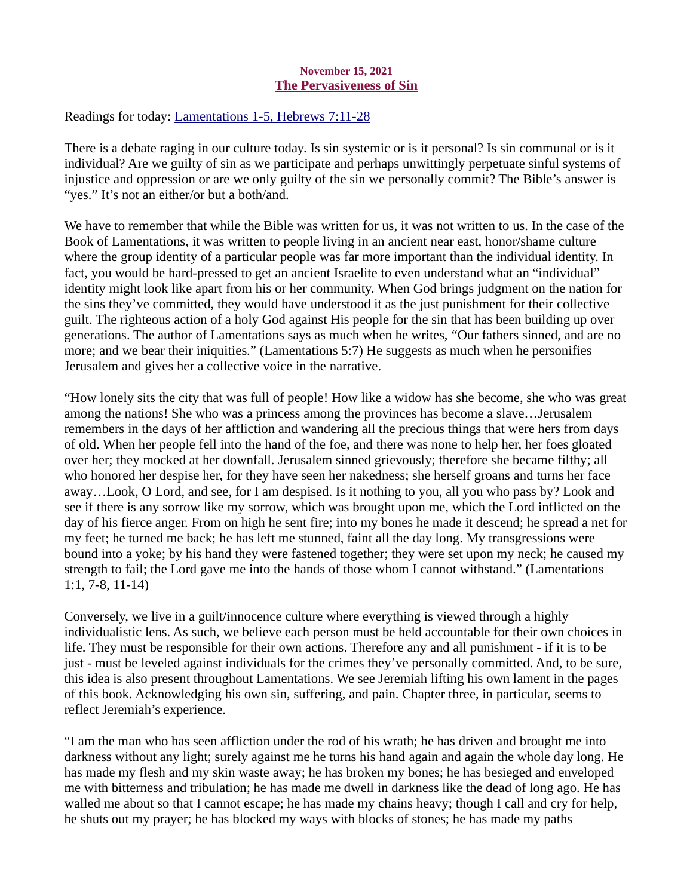#### November 15, 2021 The Pervasiveness of Sin

<span id="page-23-0"></span>Readings for today[: Lamentations 1-5, Hebrews 7:11-28](https://www.biblegateway.com/passage/?search=Lamentations+1-5%2C+Hebrews+7%3A11-28&version=ESV)

There is a debate raging in our culture today. Is sin systemic or is it personal? Is sin communal or is it individual? Are we guilty of sin as we participate and perhaps unwittingly perpetuate sinful systems of injustice and oppression or are we only guilty of the sin we personally commit? The Bible's answer is "yes." It's not an either/or but a both/and.

We have to remember that while the Bible was written for us, it was not written to us. In the case of the Book of Lamentations, it was written to people living in an ancient near east, honor/shame culture where the group identity of a particular people was far more important than the individual identity. In fact, you would be hard-pressed to get an ancient Israelite to even understand what an "individual" identity might look like apart from his or her community. When God brings judgment on the nation for the sins they've committed, they would have understood it as the just punishment for their collective guilt. The righteous action of a holy God against His people for the sin that has been building up over generations. The author of Lamentations says as much when he writes, "Our fathers sinned, and are no more; and we bear their iniquities." (Lamentations 5:7) He suggests as much when he personifies Jerusalem and gives her a collective voice in the narrative.

"How lonely sits the city that was full of people! How like a widow has she become, she who was great among the nations! She who was a princess among the provinces has become a slave…Jerusalem remembers in the days of her affliction and wandering all the precious things that were hers from days of old. When her people fell into the hand of the foe, and there was none to help her, her foes gloated over her; they mocked at her downfall. Jerusalem sinned grievously; therefore she became filthy; all who honored her despise her, for they have seen her nakedness; she herself groans and turns her face away…Look, O Lord, and see, for I am despised. Is it nothing to you, all you who pass by? Look and see if there is any sorrow like my sorrow, which was brought upon me, which the Lord inflicted on the day of his fierce anger. From on high he sent fire; into my bones he made it descend; he spread a net for my feet; he turned me back; he has left me stunned, faint all the day long. My transgressions were bound into a yoke; by his hand they were fastened together; they were set upon my neck; he caused my strength to fail; the Lord gave me into the hands of those whom I cannot withstand." (Lamentations 1:1, 7-8, 11-14)

Conversely, we live in a guilt/innocence culture where everything is viewed through a highly individualistic lens. As such, we believe each person must be held accountable for their own choices in life. They must be responsible for their own actions. Therefore any and all punishment - if it is to be just - must be leveled against individuals for the crimes they've personally committed. And, to be sure, this idea is also present throughout Lamentations. We see Jeremiah lifting his own lament in the pages of this book. Acknowledging his own sin, suffering, and pain. Chapter three, in particular, seems to reflect Jeremiah's experience.

"I am the man who has seen affliction under the rod of his wrath; he has driven and brought me into darkness without any light; surely against me he turns his hand again and again the whole day long. He has made my flesh and my skin waste away; he has broken my bones; he has besieged and enveloped me with bitterness and tribulation; he has made me dwell in darkness like the dead of long ago. He has walled me about so that I cannot escape; he has made my chains heavy; though I call and cry for help, he shuts out my prayer; he has blocked my ways with blocks of stones; he has made my paths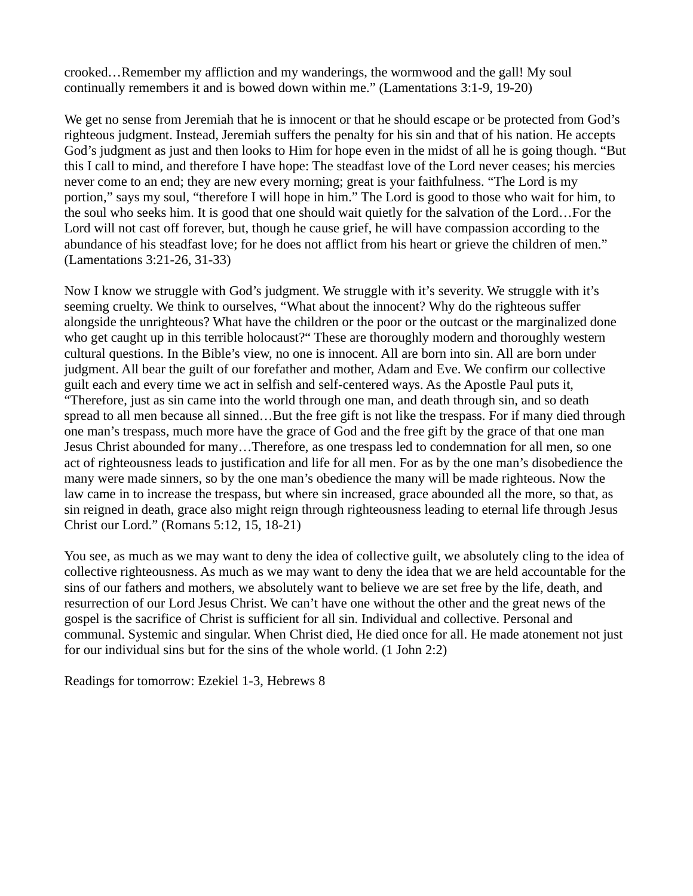crooked…Remember my affliction and my wanderings, the wormwood and the gall! My soul continually remembers it and is bowed down within me." (Lamentations 3:1-9, 19-20)

We get no sense from Jeremiah that he is innocent or that he should escape or be protected from God's righteous judgment. Instead, Jeremiah suffers the penalty for his sin and that of his nation. He accepts God's judgment as just and then looks to Him for hope even in the midst of all he is going though. "But this I call to mind, and therefore I have hope: The steadfast love of the Lord never ceases; his mercies never come to an end; they are new every morning; great is your faithfulness. "The Lord is my portion," says my soul, "therefore I will hope in him." The Lord is good to those who wait for him, to the soul who seeks him. It is good that one should wait quietly for the salvation of the Lord…For the Lord will not cast off forever, but, though he cause grief, he will have compassion according to the abundance of his steadfast love; for he does not afflict from his heart or grieve the children of men." (Lamentations 3:21-26, 31-33)

Now I know we struggle with God's judgment. We struggle with it's severity. We struggle with it's seeming cruelty. We think to ourselves, "What about the innocent? Why do the righteous suffer alongside the unrighteous? What have the children or the poor or the outcast or the marginalized done who get caught up in this terrible holocaust?" These are thoroughly modern and thoroughly western cultural questions. In the Bible's view, no one is innocent. All are born into sin. All are born under judgment. All bear the guilt of our forefather and mother, Adam and Eve. We confirm our collective guilt each and every time we act in selfish and self-centered ways. As the Apostle Paul puts it, "Therefore, just as sin came into the world through one man, and death through sin, and so death spread to all men because all sinned...But the free gift is not like the trespass. For if many died through one man's trespass, much more have the grace of God and the free gift by the grace of that one man Jesus Christ abounded for many…Therefore, as one trespass led to condemnation for all men, so one act of righteousness leads to justification and life for all men. For as by the one man's disobedience the many were made sinners, so by the one man's obedience the many will be made righteous. Now the law came in to increase the trespass, but where sin increased, grace abounded all the more, so that, as sin reigned in death, grace also might reign through righteousness leading to eternal life through Jesus Christ our Lord." (Romans 5:12, 15, 18-21)

You see, as much as we may want to deny the idea of collective guilt, we absolutely cling to the idea of collective righteousness. As much as we may want to deny the idea that we are held accountable for the sins of our fathers and mothers, we absolutely want to believe we are set free by the life, death, and resurrection of our Lord Jesus Christ. We can't have one without the other and the great news of the gospel is the sacrifice of Christ is sufficient for all sin. Individual and collective. Personal and communal. Systemic and singular. When Christ died, He died once for all. He made atonement not just for our individual sins but for the sins of the whole world. (1 John 2:2)

Readings for tomorrow: Ezekiel 1-3, Hebrews 8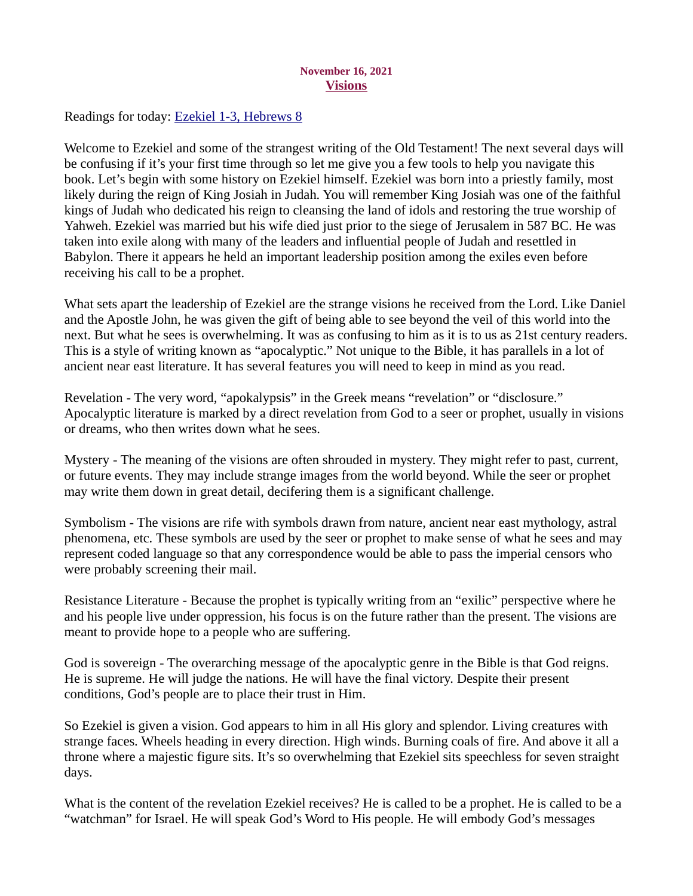# November 16, 2021 **Visions**

<span id="page-25-0"></span>Readings for today: **Ezekiel 1-3**, Hebrews 8

Welcome to Ezekiel and some of the strangest writing of the Old Testament! The next several days will be confusing if it's your first time through so let me give you a few tools to help you navigate this book. Let's begin with some history on Ezekiel himself. Ezekiel was born into a priestly family, most likely during the reign of King Josiah in Judah. You will remember King Josiah was one of the faithful kings of Judah who dedicated his reign to cleansing the land of idols and restoring the true worship of Yahweh. Ezekiel was married but his wife died just prior to the siege of Jerusalem in 587 BC. He was taken into exile along with many of the leaders and influential people of Judah and resettled in Babylon. There it appears he held an important leadership position among the exiles even before receiving his call to be a prophet.

What sets apart the leadership of Ezekiel are the strange visions he received from the Lord. Like Daniel and the Apostle John, he was given the gift of being able to see beyond the veil of this world into the next. But what he sees is overwhelming. It was as confusing to him as it is to us as 21st century readers. This is a style of writing known as "apocalyptic." Not unique to the Bible, it has parallels in a lot of ancient near east literature. It has several features you will need to keep in mind as you read.

Revelation - The very word, "apokalypsis" in the Greek means "revelation" or "disclosure." Apocalyptic literature is marked by a direct revelation from God to a seer or prophet, usually in visions or dreams, who then writes down what he sees.

Mystery - The meaning of the visions are often shrouded in mystery. They might refer to past, current, or future events. They may include strange images from the world beyond. While the seer or prophet may write them down in great detail, decifering them is a significant challenge.

Symbolism - The visions are rife with symbols drawn from nature, ancient near east mythology, astral phenomena, etc. These symbols are used by the seer or prophet to make sense of what he sees and may represent coded language so that any correspondence would be able to pass the imperial censors who were probably screening their mail.

Resistance Literature - Because the prophet is typically writing from an "exilic" perspective where he and his people live under oppression, his focus is on the future rather than the present. The visions are meant to provide hope to a people who are suffering.

God is sovereign - The overarching message of the apocalyptic genre in the Bible is that God reigns. He is supreme. He will judge the nations. He will have the final victory. Despite their present conditions, God's people are to place their trust in Him.

So Ezekiel is given a vision. God appears to him in all His glory and splendor. Living creatures with strange faces. Wheels heading in every direction. High winds. Burning coals of fire. And above it all a throne where a majestic figure sits. It's so overwhelming that Ezekiel sits speechless for seven straight days.

What is the content of the revelation Ezekiel receives? He is called to be a prophet. He is called to be a "watchman" for Israel. He will speak God's Word to His people. He will embody God's messages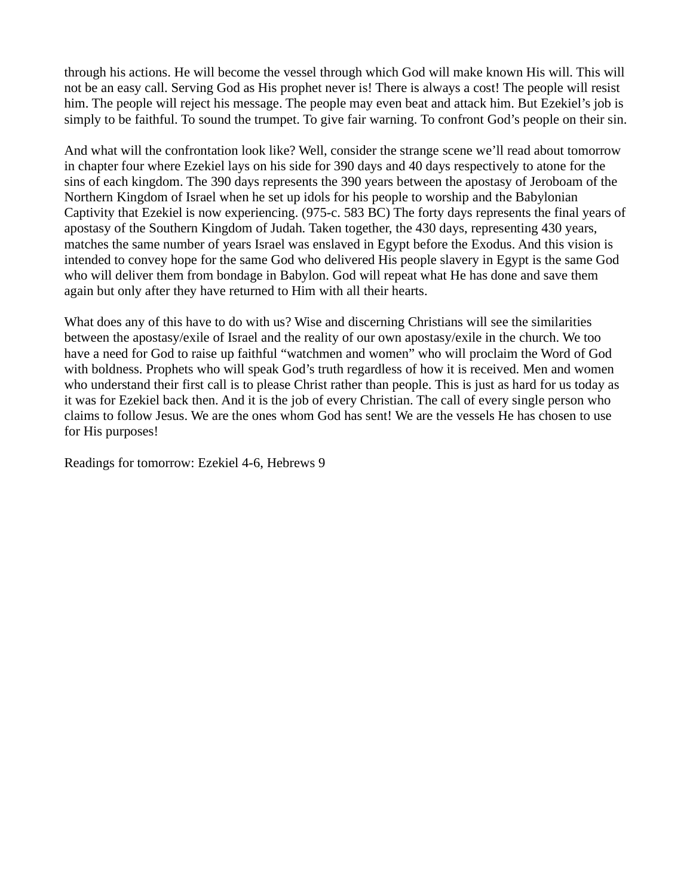through his actions. He will become the vessel through which God will make known His will. This will not be an easy call. Serving God as His prophet never is! There is always a cost! The people will resist him. The people will reject his message. The people may even beat and attack him. But Ezekiel's job is simply to be faithful. To sound the trumpet. To give fair warning. To confront God's people on their sin.

And what will the confrontation look like? Well, consider the strange scene we'll read about tomorrow in chapter four where Ezekiel lays on his side for 390 days and 40 days respectively to atone for the sins of each kingdom. The 390 days represents the 390 years between the apostasy of Jeroboam of the Northern Kingdom of Israel when he set up idols for his people to worship and the Babylonian Captivity that Ezekiel is now experiencing. (975-c. 583 BC) The forty days represents the final years of apostasy of the Southern Kingdom of Judah. Taken together, the 430 days, representing 430 years, matches the same number of years Israel was enslaved in Egypt before the Exodus. And this vision is intended to convey hope for the same God who delivered His people slavery in Egypt is the same God who will deliver them from bondage in Babylon. God will repeat what He has done and save them again but only after they have returned to Him with all their hearts.

What does any of this have to do with us? Wise and discerning Christians will see the similarities between the apostasy/exile of Israel and the reality of our own apostasy/exile in the church. We too have a need for God to raise up faithful "watchmen and women" who will proclaim the Word of God with boldness. Prophets who will speak God's truth regardless of how it is received. Men and women who understand their first call is to please Christ rather than people. This is just as hard for us today as it was for Ezekiel back then. And it is the job of every Christian. The call of every single person who claims to follow Jesus. We are the ones whom God has sent! We are the vessels He has chosen to use for His purposes!

Readings for tomorrow: Ezekiel 4-6, Hebrews 9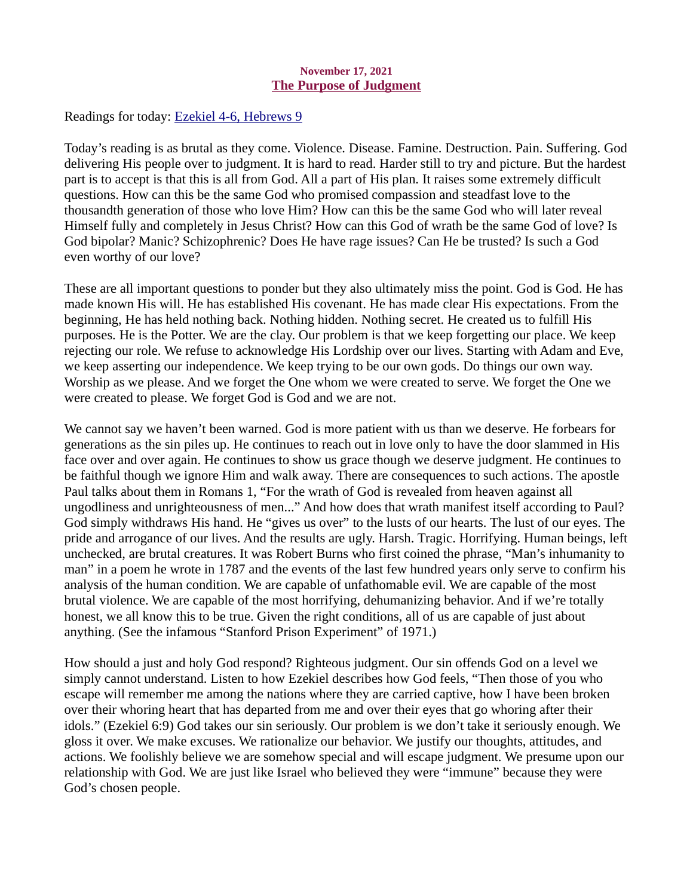## November 17, 2021 The Purpose of Judgment

<span id="page-27-0"></span>Readings for today: **Ezekiel 4-6**, Hebrews 9

Today's reading is as brutal as they come. Violence. Disease. Famine. Destruction. Pain. Suffering. God delivering His people over to judgment. It is hard to read. Harder still to try and picture. But the hardest part is to accept is that this is all from God. All a part of His plan. It raises some extremely difficult questions. How can this be the same God who promised compassion and steadfast love to the thousandth generation of those who love Him? How can this be the same God who will later reveal Himself fully and completely in Jesus Christ? How can this God of wrath be the same God of love? Is God bipolar? Manic? Schizophrenic? Does He have rage issues? Can He be trusted? Is such a God even worthy of our love?

These are all important questions to ponder but they also ultimately miss the point. God is God. He has made known His will. He has established His covenant. He has made clear His expectations. From the beginning, He has held nothing back. Nothing hidden. Nothing secret. He created us to fulfill His purposes. He is the Potter. We are the clay. Our problem is that we keep forgetting our place. We keep rejecting our role. We refuse to acknowledge His Lordship over our lives. Starting with Adam and Eve, we keep asserting our independence. We keep trying to be our own gods. Do things our own way. Worship as we please. And we forget the One whom we were created to serve. We forget the One we were created to please. We forget God is God and we are not.

We cannot say we haven't been warned. God is more patient with us than we deserve. He forbears for generations as the sin piles up. He continues to reach out in love only to have the door slammed in His face over and over again. He continues to show us grace though we deserve judgment. He continues to be faithful though we ignore Him and walk away. There are consequences to such actions. The apostle Paul talks about them in Romans 1, "For the wrath of God is revealed from heaven against all ungodliness and unrighteousness of men..." And how does that wrath manifest itself according to Paul? God simply withdraws His hand. He "gives us over" to the lusts of our hearts. The lust of our eyes. The pride and arrogance of our lives. And the results are ugly. Harsh. Tragic. Horrifying. Human beings, left unchecked, are brutal creatures. It was Robert Burns who first coined the phrase, "Man's inhumanity to man" in a poem he wrote in 1787 and the events of the last few hundred years only serve to confirm his analysis of the human condition. We are capable of unfathomable evil. We are capable of the most brutal violence. We are capable of the most horrifying, dehumanizing behavior. And if we're totally honest, we all know this to be true. Given the right conditions, all of us are capable of just about anything. (See the infamous "Stanford Prison Experiment" of 1971.)

How should a just and holy God respond? Righteous judgment. Our sin offends God on a level we simply cannot understand. Listen to how Ezekiel describes how God feels, "Then those of you who escape will remember me among the nations where they are carried captive, how I have been broken over their whoring heart that has departed from me and over their eyes that go whoring after their idols." (Ezekiel 6:9) God takes our sin seriously. Our problem is we don't take it seriously enough. We gloss it over. We make excuses. We rationalize our behavior. We justify our thoughts, attitudes, and actions. We foolishly believe we are somehow special and will escape judgment. We presume upon our relationship with God. We are just like Israel who believed they were "immune" because they were God's chosen people.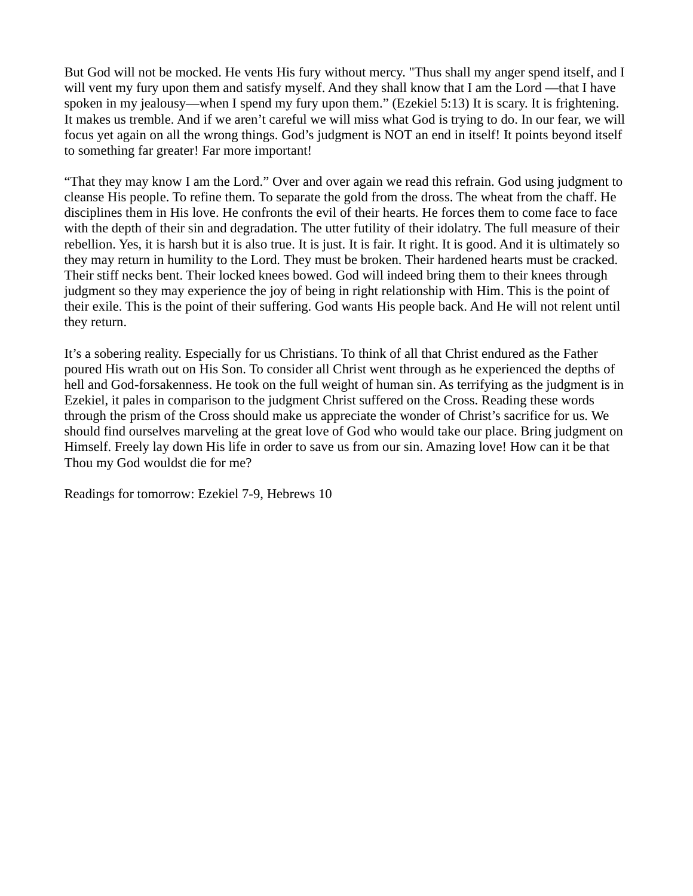But God will not be mocked. He vents His fury without mercy. "Thus shall my anger spend itself, and I will vent my fury upon them and satisfy myself. And they shall know that I am the Lord —that I have spoken in my jealousy—when I spend my fury upon them." (Ezekiel 5:13) It is scary. It is frightening. It makes us tremble. And if we aren't careful we will miss what God is trying to do. In our fear, we will focus yet again on all the wrong things. God's judgment is NOT an end in itself! It points beyond itself to something far greater! Far more important!

"That they may know I am the Lord." Over and over again we read this refrain. God using judgment to cleanse His people. To refine them. To separate the gold from the dross. The wheat from the chaff. He disciplines them in His love. He confronts the evil of their hearts. He forces them to come face to face with the depth of their sin and degradation. The utter futility of their idolatry. The full measure of their rebellion. Yes, it is harsh but it is also true. It is just. It is fair. It right. It is good. And it is ultimately so they may return in humility to the Lord. They must be broken. Their hardened hearts must be cracked. Their stiff necks bent. Their locked knees bowed. God will indeed bring them to their knees through judgment so they may experience the joy of being in right relationship with Him. This is the point of their exile. This is the point of their suffering. God wants His people back. And He will not relent until they return.

It's a sobering reality. Especially for us Christians. To think of all that Christ endured as the Father poured His wrath out on His Son. To consider all Christ went through as he experienced the depths of hell and God-forsakenness. He took on the full weight of human sin. As terrifying as the judgment is in Ezekiel, it pales in comparison to the judgment Christ suffered on the Cross. Reading these words through the prism of the Cross should make us appreciate the wonder of Christ's sacrifice for us. We should find ourselves marveling at the great love of God who would take our place. Bring judgment on Himself. Freely lay down His life in order to save us from our sin. Amazing love! How can it be that Thou my God wouldst die for me?

Readings for tomorrow: Ezekiel 7-9, Hebrews 10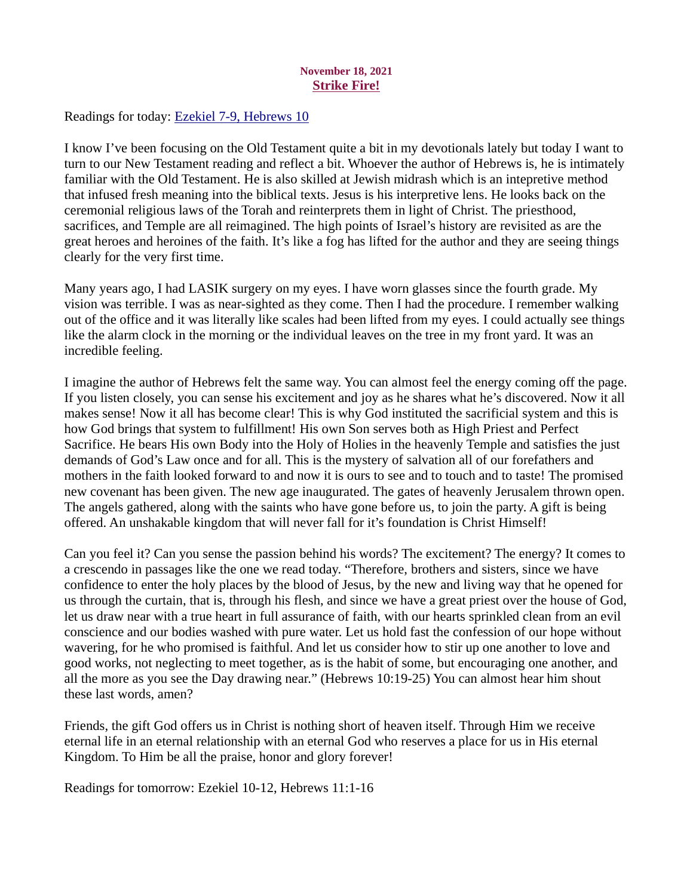# November 18, 2021 Strike Fire!

<span id="page-29-0"></span>Readings for today: [Ezekiel 7-9, Hebrews 10](https://www.biblegateway.com/passage/?search=Ezekiel+7-9%2C+Hebrews+10&version=ESV)

I know I've been focusing on the Old Testament quite a bit in my devotionals lately but today I want to turn to our New Testament reading and reflect a bit. Whoever the author of Hebrews is, he is intimately familiar with the Old Testament. He is also skilled at Jewish midrash which is an intepretive method that infused fresh meaning into the biblical texts. Jesus is his interpretive lens. He looks back on the ceremonial religious laws of the Torah and reinterprets them in light of Christ. The priesthood, sacrifices, and Temple are all reimagined. The high points of Israel's history are revisited as are the great heroes and heroines of the faith. It's like a fog has lifted for the author and they are seeing things clearly for the very first time.

Many years ago, I had LASIK surgery on my eyes. I have worn glasses since the fourth grade. My vision was terrible. I was as near-sighted as they come. Then I had the procedure. I remember walking out of the office and it was literally like scales had been lifted from my eyes. I could actually see things like the alarm clock in the morning or the individual leaves on the tree in my front yard. It was an incredible feeling.

I imagine the author of Hebrews felt the same way. You can almost feel the energy coming off the page. If you listen closely, you can sense his excitement and joy as he shares what he's discovered. Now it all makes sense! Now it all has become clear! This is why God instituted the sacrificial system and this is how God brings that system to fulfillment! His own Son serves both as High Priest and Perfect Sacrifice. He bears His own Body into the Holy of Holies in the heavenly Temple and satisfies the just demands of God's Law once and for all. This is the mystery of salvation all of our forefathers and mothers in the faith looked forward to and now it is ours to see and to touch and to taste! The promised new covenant has been given. The new age inaugurated. The gates of heavenly Jerusalem thrown open. The angels gathered, along with the saints who have gone before us, to join the party. A gift is being offered. An unshakable kingdom that will never fall for it's foundation is Christ Himself!

Can you feel it? Can you sense the passion behind his words? The excitement? The energy? It comes to a crescendo in passages like the one we read today. "Therefore, brothers and sisters, since we have confidence to enter the holy places by the blood of Jesus, by the new and living way that he opened for us through the curtain, that is, through his flesh, and since we have a great priest over the house of God, let us draw near with a true heart in full assurance of faith, with our hearts sprinkled clean from an evil conscience and our bodies washed with pure water. Let us hold fast the confession of our hope without wavering, for he who promised is faithful. And let us consider how to stir up one another to love and good works, not neglecting to meet together, as is the habit of some, but encouraging one another, and all the more as you see the Day drawing near." (Hebrews 10:19-25) You can almost hear him shout these last words, amen?

Friends, the gift God offers us in Christ is nothing short of heaven itself. Through Him we receive eternal life in an eternal relationship with an eternal God who reserves a place for us in His eternal Kingdom. To Him be all the praise, honor and glory forever!

Readings for tomorrow: Ezekiel 10-12, Hebrews 11:1-16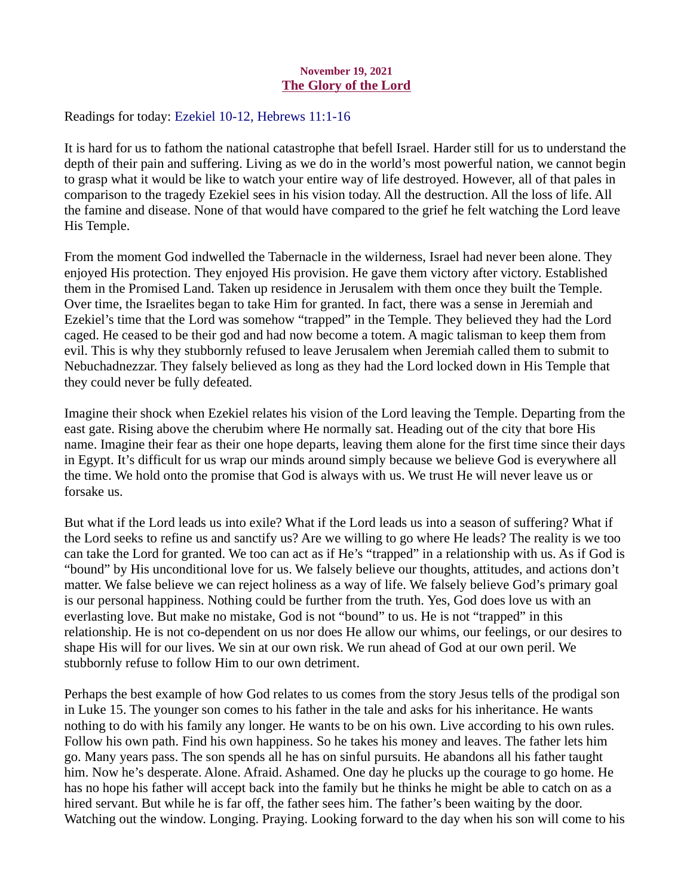## November 19, 2021 The Glory of the Lord

<span id="page-30-0"></span>Readings for today: [Ezekiel 10-12, Hebrews 11:1-16](https://www.biblegateway.com/passage/?search=Ezekiel+10-12%2C+Hebrews+11%3A1-16&version=ESV)

It is hard for us to fathom the national catastrophe that befell Israel. Harder still for us to understand the depth of their pain and suffering. Living as we do in the world's most powerful nation, we cannot begin to grasp what it would be like to watch your entire way of life destroyed. However, all of that pales in comparison to the tragedy Ezekiel sees in his vision today. All the destruction. All the loss of life. All the famine and disease. None of that would have compared to the grief he felt watching the Lord leave His Temple.

From the moment God indwelled the Tabernacle in the wilderness, Israel had never been alone. They enjoyed His protection. They enjoyed His provision. He gave them victory after victory. Established them in the Promised Land. Taken up residence in Jerusalem with them once they built the Temple. Over time, the Israelites began to take Him for granted. In fact, there was a sense in Jeremiah and Ezekiel's time that the Lord was somehow "trapped" in the Temple. They believed they had the Lord caged. He ceased to be their god and had now become a totem. A magic talisman to keep them from evil. This is why they stubbornly refused to leave Jerusalem when Jeremiah called them to submit to Nebuchadnezzar. They falsely believed as long as they had the Lord locked down in His Temple that they could never be fully defeated.

Imagine their shock when Ezekiel relates his vision of the Lord leaving the Temple. Departing from the east gate. Rising above the cherubim where He normally sat. Heading out of the city that bore His name. Imagine their fear as their one hope departs, leaving them alone for the first time since their days in Egypt. It's difficult for us wrap our minds around simply because we believe God is everywhere all the time. We hold onto the promise that God is always with us. We trust He will never leave us or forsake us.

But what if the Lord leads us into exile? What if the Lord leads us into a season of suffering? What if the Lord seeks to refine us and sanctify us? Are we willing to go where He leads? The reality is we too can take the Lord for granted. We too can act as if He's "trapped" in a relationship with us. As if God is "bound" by His unconditional love for us. We falsely believe our thoughts, attitudes, and actions don't matter. We false believe we can reject holiness as a way of life. We falsely believe God's primary goal is our personal happiness. Nothing could be further from the truth. Yes, God does love us with an everlasting love. But make no mistake, God is not "bound" to us. He is not "trapped" in this relationship. He is not co-dependent on us nor does He allow our whims, our feelings, or our desires to shape His will for our lives. We sin at our own risk. We run ahead of God at our own peril. We stubbornly refuse to follow Him to our own detriment.

Perhaps the best example of how God relates to us comes from the story Jesus tells of the prodigal son in Luke 15. The younger son comes to his father in the tale and asks for his inheritance. He wants nothing to do with his family any longer. He wants to be on his own. Live according to his own rules. Follow his own path. Find his own happiness. So he takes his money and leaves. The father lets him go. Many years pass. The son spends all he has on sinful pursuits. He abandons all his father taught him. Now he's desperate. Alone. Afraid. Ashamed. One day he plucks up the courage to go home. He has no hope his father will accept back into the family but he thinks he might be able to catch on as a hired servant. But while he is far off, the father sees him. The father's been waiting by the door. Watching out the window. Longing. Praying. Looking forward to the day when his son will come to his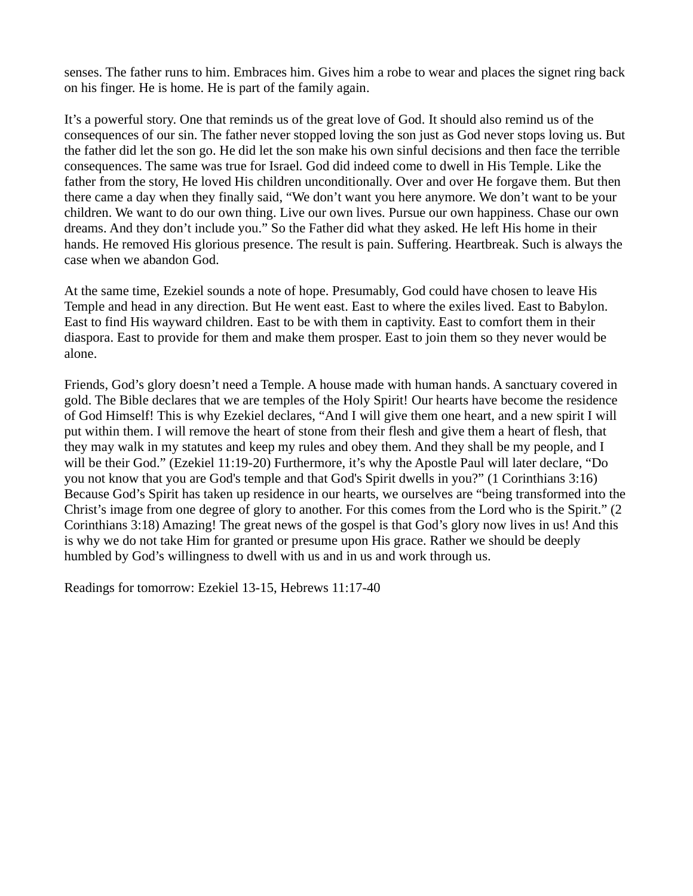senses. The father runs to him. Embraces him. Gives him a robe to wear and places the signet ring back on his finger. He is home. He is part of the family again.

It's a powerful story. One that reminds us of the great love of God. It should also remind us of the consequences of our sin. The father never stopped loving the son just as God never stops loving us. But the father did let the son go. He did let the son make his own sinful decisions and then face the terrible consequences. The same was true for Israel. God did indeed come to dwell in His Temple. Like the father from the story, He loved His children unconditionally. Over and over He forgave them. But then there came a day when they finally said, "We don't want you here anymore. We don't want to be your children. We want to do our own thing. Live our own lives. Pursue our own happiness. Chase our own dreams. And they don't include you." So the Father did what they asked. He left His home in their hands. He removed His glorious presence. The result is pain. Suffering. Heartbreak. Such is always the case when we abandon God.

At the same time, Ezekiel sounds a note of hope. Presumably, God could have chosen to leave His Temple and head in any direction. But He went east. East to where the exiles lived. East to Babylon. East to find His wayward children. East to be with them in captivity. East to comfort them in their diaspora. East to provide for them and make them prosper. East to join them so they never would be alone.

Friends, God's glory doesn't need a Temple. A house made with human hands. A sanctuary covered in gold. The Bible declares that we are temples of the Holy Spirit! Our hearts have become the residence of God Himself! This is why Ezekiel declares, "And I will give them one heart, and a new spirit I will put within them. I will remove the heart of stone from their flesh and give them a heart of flesh, that they may walk in my statutes and keep my rules and obey them. And they shall be my people, and I will be their God." (Ezekiel 11:19-20) Furthermore, it's why the Apostle Paul will later declare, "Do you not know that you are God's temple and that God's Spirit dwells in you?" (1 Corinthians 3:16) Because God's Spirit has taken up residence in our hearts, we ourselves are "being transformed into the Christ's image from one degree of glory to another. For this comes from the Lord who is the Spirit." (2 Corinthians 3:18) Amazing! The great news of the gospel is that God's glory now lives in us! And this is why we do not take Him for granted or presume upon His grace. Rather we should be deeply humbled by God's willingness to dwell with us and in us and work through us.

Readings for tomorrow: Ezekiel 13-15, Hebrews 11:17-40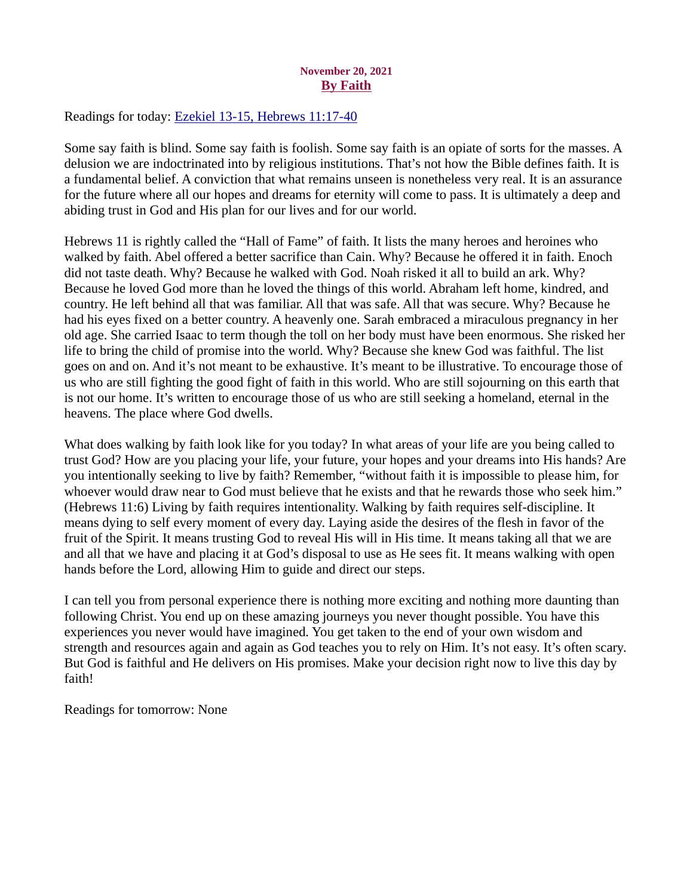# November 20, 2021 By Faith

<span id="page-32-0"></span>Readings for today: [Ezekiel 13-15, Hebrews 11:17-40](https://www.biblegateway.com/passage/?search=Ezekiel+13-15%2C+Hebrews+11%3A17-40&version=ESV)

Some say faith is blind. Some say faith is foolish. Some say faith is an opiate of sorts for the masses. A delusion we are indoctrinated into by religious institutions. That's not how the Bible defines faith. It is a fundamental belief. A conviction that what remains unseen is nonetheless very real. It is an assurance for the future where all our hopes and dreams for eternity will come to pass. It is ultimately a deep and abiding trust in God and His plan for our lives and for our world.

Hebrews 11 is rightly called the "Hall of Fame" of faith. It lists the many heroes and heroines who walked by faith. Abel offered a better sacrifice than Cain. Why? Because he offered it in faith. Enoch did not taste death. Why? Because he walked with God. Noah risked it all to build an ark. Why? Because he loved God more than he loved the things of this world. Abraham left home, kindred, and country. He left behind all that was familiar. All that was safe. All that was secure. Why? Because he had his eyes fixed on a better country. A heavenly one. Sarah embraced a miraculous pregnancy in her old age. She carried Isaac to term though the toll on her body must have been enormous. She risked her life to bring the child of promise into the world. Why? Because she knew God was faithful. The list goes on and on. And it's not meant to be exhaustive. It's meant to be illustrative. To encourage those of us who are still fighting the good fight of faith in this world. Who are still sojourning on this earth that is not our home. It's written to encourage those of us who are still seeking a homeland, eternal in the heavens. The place where God dwells.

What does walking by faith look like for you today? In what areas of your life are you being called to trust God? How are you placing your life, your future, your hopes and your dreams into His hands? Are you intentionally seeking to live by faith? Remember, "without faith it is impossible to please him, for whoever would draw near to God must believe that he exists and that he rewards those who seek him." (Hebrews 11:6) Living by faith requires intentionality. Walking by faith requires self-discipline. It means dying to self every moment of every day. Laying aside the desires of the flesh in favor of the fruit of the Spirit. It means trusting God to reveal His will in His time. It means taking all that we are and all that we have and placing it at God's disposal to use as He sees fit. It means walking with open hands before the Lord, allowing Him to guide and direct our steps.

I can tell you from personal experience there is nothing more exciting and nothing more daunting than following Christ. You end up on these amazing journeys you never thought possible. You have this experiences you never would have imagined. You get taken to the end of your own wisdom and strength and resources again and again as God teaches you to rely on Him. It's not easy. It's often scary. But God is faithful and He delivers on His promises. Make your decision right now to live this day by faith!

Readings for tomorrow: None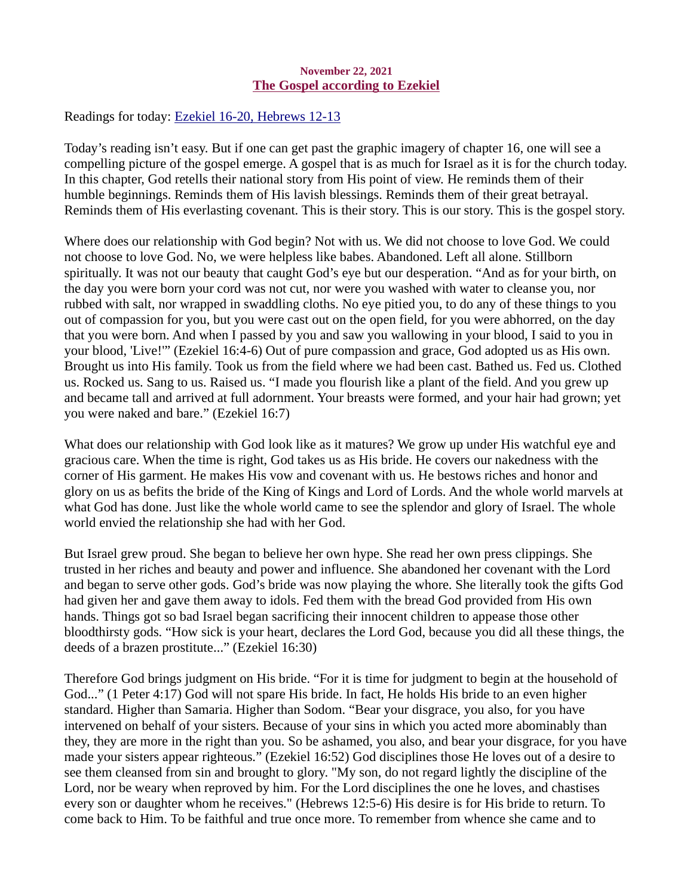#### November 22, 2021 The Gospel according to Ezekiel

<span id="page-33-0"></span>Readings for today[: Ezekiel 16-20, Hebrews 12-13](https://www.biblegateway.com/passage/?search=Ezekiel+16-20%2C+Hebrews+12-13&version=ESV)

Today's reading isn't easy. But if one can get past the graphic imagery of chapter 16, one will see a compelling picture of the gospel emerge. A gospel that is as much for Israel as it is for the church today. In this chapter, God retells their national story from His point of view. He reminds them of their humble beginnings. Reminds them of His lavish blessings. Reminds them of their great betrayal. Reminds them of His everlasting covenant. This is their story. This is our story. This is the gospel story.

Where does our relationship with God begin? Not with us. We did not choose to love God. We could not choose to love God. No, we were helpless like babes. Abandoned. Left all alone. Stillborn spiritually. It was not our beauty that caught God's eye but our desperation. "And as for your birth, on the day you were born your cord was not cut, nor were you washed with water to cleanse you, nor rubbed with salt, nor wrapped in swaddling cloths. No eye pitied you, to do any of these things to you out of compassion for you, but you were cast out on the open field, for you were abhorred, on the day that you were born. And when I passed by you and saw you wallowing in your blood, I said to you in your blood, 'Live!'" (Ezekiel 16:4-6) Out of pure compassion and grace, God adopted us as His own. Brought us into His family. Took us from the field where we had been cast. Bathed us. Fed us. Clothed us. Rocked us. Sang to us. Raised us. "I made you flourish like a plant of the field. And you grew up and became tall and arrived at full adornment. Your breasts were formed, and your hair had grown; yet you were naked and bare." (Ezekiel 16:7)

What does our relationship with God look like as it matures? We grow up under His watchful eye and gracious care. When the time is right, God takes us as His bride. He covers our nakedness with the corner of His garment. He makes His vow and covenant with us. He bestows riches and honor and glory on us as befits the bride of the King of Kings and Lord of Lords. And the whole world marvels at what God has done. Just like the whole world came to see the splendor and glory of Israel. The whole world envied the relationship she had with her God.

But Israel grew proud. She began to believe her own hype. She read her own press clippings. She trusted in her riches and beauty and power and influence. She abandoned her covenant with the Lord and began to serve other gods. God's bride was now playing the whore. She literally took the gifts God had given her and gave them away to idols. Fed them with the bread God provided from His own hands. Things got so bad Israel began sacrificing their innocent children to appease those other bloodthirsty gods. "How sick is your heart, declares the Lord God, because you did all these things, the deeds of a brazen prostitute..." (Ezekiel 16:30)

Therefore God brings judgment on His bride. "For it is time for judgment to begin at the household of God..." (1 Peter 4:17) God will not spare His bride. In fact, He holds His bride to an even higher standard. Higher than Samaria. Higher than Sodom. "Bear your disgrace, you also, for you have intervened on behalf of your sisters. Because of your sins in which you acted more abominably than they, they are more in the right than you. So be ashamed, you also, and bear your disgrace, for you have made your sisters appear righteous." (Ezekiel 16:52) God disciplines those He loves out of a desire to see them cleansed from sin and brought to glory. "My son, do not regard lightly the discipline of the Lord, nor be weary when reproved by him. For the Lord disciplines the one he loves, and chastises every son or daughter whom he receives." (Hebrews 12:5-6) His desire is for His bride to return. To come back to Him. To be faithful and true once more. To remember from whence she came and to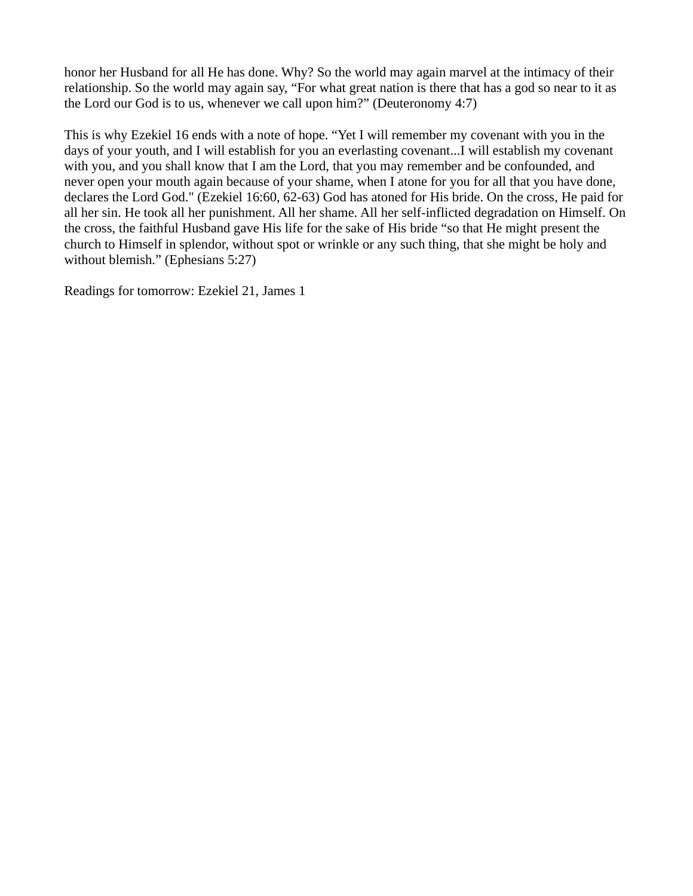honor her Husband for all He has done. Why? So the world may again marvel at the intimacy of their relationship. So the world may again say, "For what great nation is there that has a god so near to it as the Lord our God is to us, whenever we call upon him?" (Deuteronomy 4:7)

This is why Ezekiel 16 ends with a note of hope. "Yet I will remember my covenant with you in the days of your youth, and I will establish for you an everlasting covenant...I will establish my covenant with you, and you shall know that I am the Lord, that you may remember and be confounded, and never open your mouth again because of your shame, when I atone for you for all that you have done, declares the Lord God." (Ezekiel 16:60, 62-63) God has atoned for His bride. On the cross, He paid for all her sin. He took all her punishment. All her shame. All her self-inflicted degradation on Himself. On the cross, the faithful Husband gave His life for the sake of His bride "so that He might present the church to Himself in splendor, without spot or wrinkle or any such thing, that she might be holy and without blemish." (Ephesians 5:27)

Readings for tomorrow: Ezekiel 21, James 1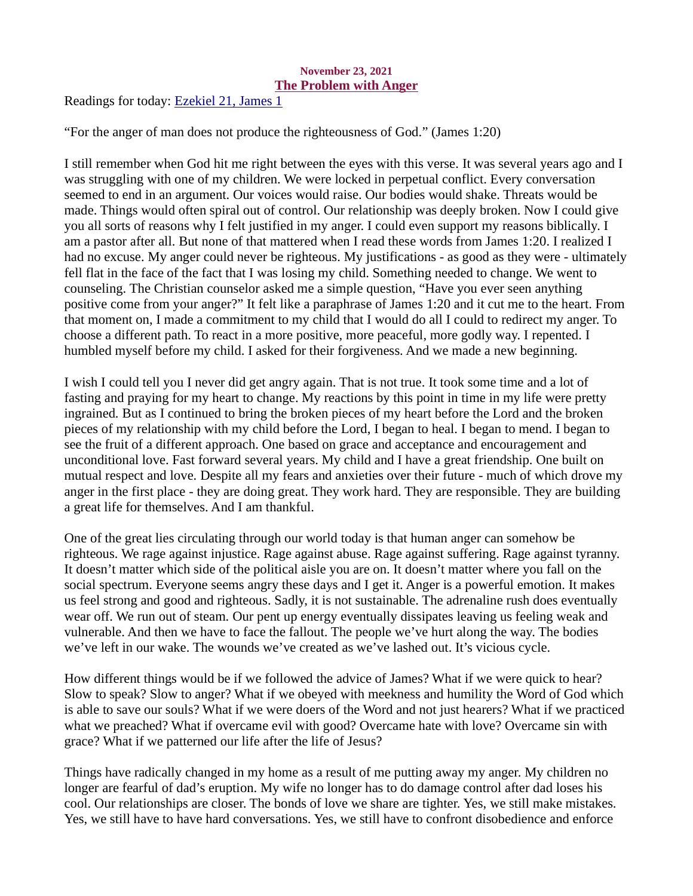#### November 23, 2021 The Problem with Anger

<span id="page-35-0"></span>Readings for today: [Ezekiel 21, James 1](https://www.biblegateway.com/passage/?search=Ezekiel+21%2C+James+1&version=ESV)

"For the anger of man does not produce the righteousness of God." (James 1:20)

I still remember when God hit me right between the eyes with this verse. It was several years ago and I was struggling with one of my children. We were locked in perpetual conflict. Every conversation seemed to end in an argument. Our voices would raise. Our bodies would shake. Threats would be made. Things would often spiral out of control. Our relationship was deeply broken. Now I could give you all sorts of reasons why I felt justified in my anger. I could even support my reasons biblically. I am a pastor after all. But none of that mattered when I read these words from James 1:20. I realized I had no excuse. My anger could never be righteous. My justifications - as good as they were - ultimately fell flat in the face of the fact that I was losing my child. Something needed to change. We went to counseling. The Christian counselor asked me a simple question, "Have you ever seen anything positive come from your anger?" It felt like a paraphrase of James 1:20 and it cut me to the heart. From that moment on, I made a commitment to my child that I would do all I could to redirect my anger. To choose a different path. To react in a more positive, more peaceful, more godly way. I repented. I humbled myself before my child. I asked for their forgiveness. And we made a new beginning.

I wish I could tell you I never did get angry again. That is not true. It took some time and a lot of fasting and praying for my heart to change. My reactions by this point in time in my life were pretty ingrained. But as I continued to bring the broken pieces of my heart before the Lord and the broken pieces of my relationship with my child before the Lord, I began to heal. I began to mend. I began to see the fruit of a different approach. One based on grace and acceptance and encouragement and unconditional love. Fast forward several years. My child and I have a great friendship. One built on mutual respect and love. Despite all my fears and anxieties over their future - much of which drove my anger in the first place - they are doing great. They work hard. They are responsible. They are building a great life for themselves. And I am thankful.

One of the great lies circulating through our world today is that human anger can somehow be righteous. We rage against injustice. Rage against abuse. Rage against suffering. Rage against tyranny. It doesn't matter which side of the political aisle you are on. It doesn't matter where you fall on the social spectrum. Everyone seems angry these days and I get it. Anger is a powerful emotion. It makes us feel strong and good and righteous. Sadly, it is not sustainable. The adrenaline rush does eventually wear off. We run out of steam. Our pent up energy eventually dissipates leaving us feeling weak and vulnerable. And then we have to face the fallout. The people we've hurt along the way. The bodies we've left in our wake. The wounds we've created as we've lashed out. It's vicious cycle.

How different things would be if we followed the advice of James? What if we were quick to hear? Slow to speak? Slow to anger? What if we obeyed with meekness and humility the Word of God which is able to save our souls? What if we were doers of the Word and not just hearers? What if we practiced what we preached? What if overcame evil with good? Overcame hate with love? Overcame sin with grace? What if we patterned our life after the life of Jesus?

Things have radically changed in my home as a result of me putting away my anger. My children no longer are fearful of dad's eruption. My wife no longer has to do damage control after dad loses his cool. Our relationships are closer. The bonds of love we share are tighter. Yes, we still make mistakes. Yes, we still have to have hard conversations. Yes, we still have to confront disobedience and enforce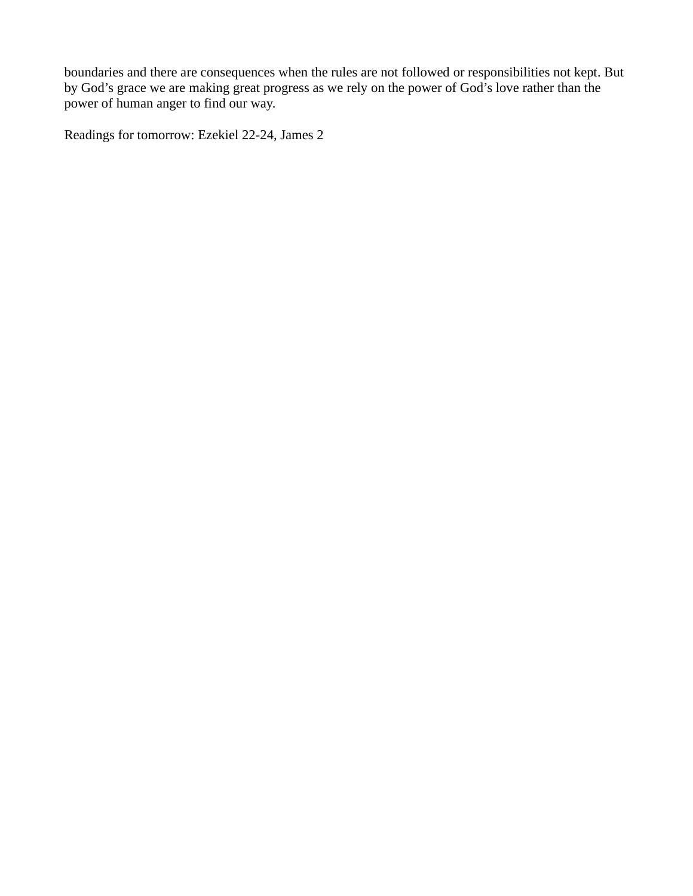boundaries and there are consequences when the rules are not followed or responsibilities not kept. But by God's grace we are making great progress as we rely on the power of God's love rather than the power of human anger to find our way.

Readings for tomorrow: Ezekiel 22-24, James 2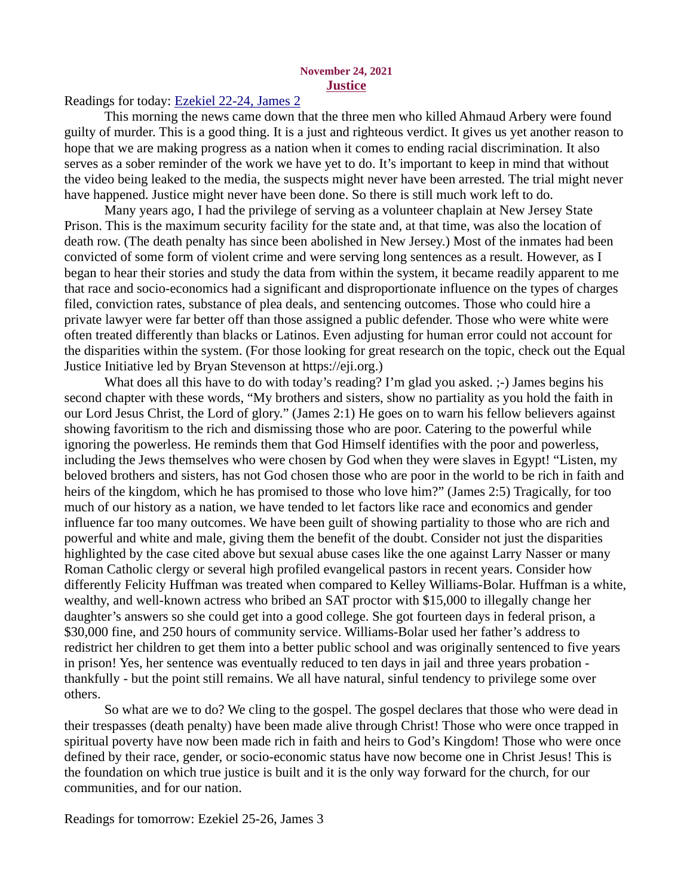#### November 24, 2021 **Justice**

#### <span id="page-37-0"></span>Readings for today: [Ezekiel 22-24, James 2](https://www.biblegateway.com/passage/?search=Ezekiel+22-24%2C+James+2&version=ESV)

This morning the news came down that the three men who killed Ahmaud Arbery were found guilty of murder. This is a good thing. It is a just and righteous verdict. It gives us yet another reason to hope that we are making progress as a nation when it comes to ending racial discrimination. It also serves as a sober reminder of the work we have yet to do. It's important to keep in mind that without the video being leaked to the media, the suspects might never have been arrested. The trial might never have happened. Justice might never have been done. So there is still much work left to do.

Many years ago, I had the privilege of serving as a volunteer chaplain at New Jersey State Prison. This is the maximum security facility for the state and, at that time, was also the location of death row. (The death penalty has since been abolished in New Jersey.) Most of the inmates had been convicted of some form of violent crime and were serving long sentences as a result. However, as I began to hear their stories and study the data from within the system, it became readily apparent to me that race and socio-economics had a significant and disproportionate influence on the types of charges filed, conviction rates, substance of plea deals, and sentencing outcomes. Those who could hire a private lawyer were far better off than those assigned a public defender. Those who were white were often treated differently than blacks or Latinos. Even adjusting for human error could not account for the disparities within the system. (For those looking for great research on the topic, check out the Equal Justice Initiative led by Bryan Stevenson at https://eji.org.)

What does all this have to do with today's reading? I'm glad you asked. ;-) James begins his second chapter with these words, "My brothers and sisters, show no partiality as you hold the faith in our Lord Jesus Christ, the Lord of glory." (James 2:1) He goes on to warn his fellow believers against showing favoritism to the rich and dismissing those who are poor. Catering to the powerful while ignoring the powerless. He reminds them that God Himself identifies with the poor and powerless, including the Jews themselves who were chosen by God when they were slaves in Egypt! "Listen, my beloved brothers and sisters, has not God chosen those who are poor in the world to be rich in faith and heirs of the kingdom, which he has promised to those who love him?" (James 2:5) Tragically, for too much of our history as a nation, we have tended to let factors like race and economics and gender influence far too many outcomes. We have been guilt of showing partiality to those who are rich and powerful and white and male, giving them the benefit of the doubt. Consider not just the disparities highlighted by the case cited above but sexual abuse cases like the one against Larry Nasser or many Roman Catholic clergy or several high profiled evangelical pastors in recent years. Consider how differently Felicity Huffman was treated when compared to Kelley Williams-Bolar. Huffman is a white, wealthy, and well-known actress who bribed an SAT proctor with \$15,000 to illegally change her daughter's answers so she could get into a good college. She got fourteen days in federal prison, a \$30,000 fine, and 250 hours of community service. Williams-Bolar used her father's address to redistrict her children to get them into a better public school and was originally sentenced to five years in prison! Yes, her sentence was eventually reduced to ten days in jail and three years probation thankfully - but the point still remains. We all have natural, sinful tendency to privilege some over others.

So what are we to do? We cling to the gospel. The gospel declares that those who were dead in their trespasses (death penalty) have been made alive through Christ! Those who were once trapped in spiritual poverty have now been made rich in faith and heirs to God's Kingdom! Those who were once defined by their race, gender, or socio-economic status have now become one in Christ Jesus! This is the foundation on which true justice is built and it is the only way forward for the church, for our communities, and for our nation.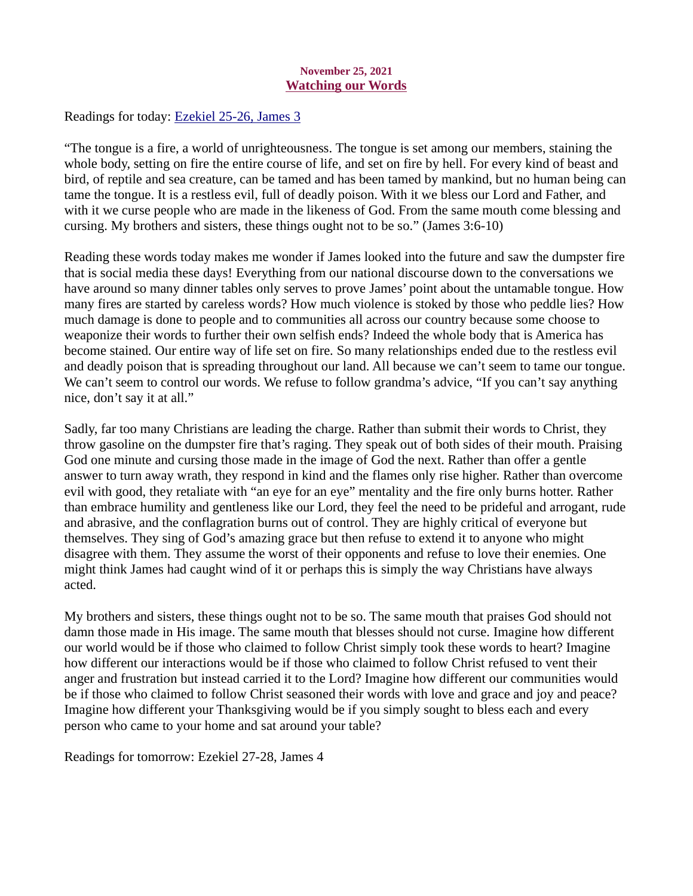## November 25, 2021 Watching our Words

<span id="page-38-0"></span>Readings for today[: Ezekiel 25-26, James 3](https://www.biblegateway.com/passage/?search=Ezekiel+25-26%2C+James+3&version=ESV)

"The tongue is a fire, a world of unrighteousness. The tongue is set among our members, staining the whole body, setting on fire the entire course of life, and set on fire by hell. For every kind of beast and bird, of reptile and sea creature, can be tamed and has been tamed by mankind, but no human being can tame the tongue. It is a restless evil, full of deadly poison. With it we bless our Lord and Father, and with it we curse people who are made in the likeness of God. From the same mouth come blessing and cursing. My brothers and sisters, these things ought not to be so." (James 3:6-10)

Reading these words today makes me wonder if James looked into the future and saw the dumpster fire that is social media these days! Everything from our national discourse down to the conversations we have around so many dinner tables only serves to prove James' point about the untamable tongue. How many fires are started by careless words? How much violence is stoked by those who peddle lies? How much damage is done to people and to communities all across our country because some choose to weaponize their words to further their own selfish ends? Indeed the whole body that is America has become stained. Our entire way of life set on fire. So many relationships ended due to the restless evil and deadly poison that is spreading throughout our land. All because we can't seem to tame our tongue. We can't seem to control our words. We refuse to follow grandma's advice, "If you can't say anything nice, don't say it at all."

Sadly, far too many Christians are leading the charge. Rather than submit their words to Christ, they throw gasoline on the dumpster fire that's raging. They speak out of both sides of their mouth. Praising God one minute and cursing those made in the image of God the next. Rather than offer a gentle answer to turn away wrath, they respond in kind and the flames only rise higher. Rather than overcome evil with good, they retaliate with "an eye for an eye" mentality and the fire only burns hotter. Rather than embrace humility and gentleness like our Lord, they feel the need to be prideful and arrogant, rude and abrasive, and the conflagration burns out of control. They are highly critical of everyone but themselves. They sing of God's amazing grace but then refuse to extend it to anyone who might disagree with them. They assume the worst of their opponents and refuse to love their enemies. One might think James had caught wind of it or perhaps this is simply the way Christians have always acted.

My brothers and sisters, these things ought not to be so. The same mouth that praises God should not damn those made in His image. The same mouth that blesses should not curse. Imagine how different our world would be if those who claimed to follow Christ simply took these words to heart? Imagine how different our interactions would be if those who claimed to follow Christ refused to vent their anger and frustration but instead carried it to the Lord? Imagine how different our communities would be if those who claimed to follow Christ seasoned their words with love and grace and joy and peace? Imagine how different your Thanksgiving would be if you simply sought to bless each and every person who came to your home and sat around your table?

Readings for tomorrow: Ezekiel 27-28, James 4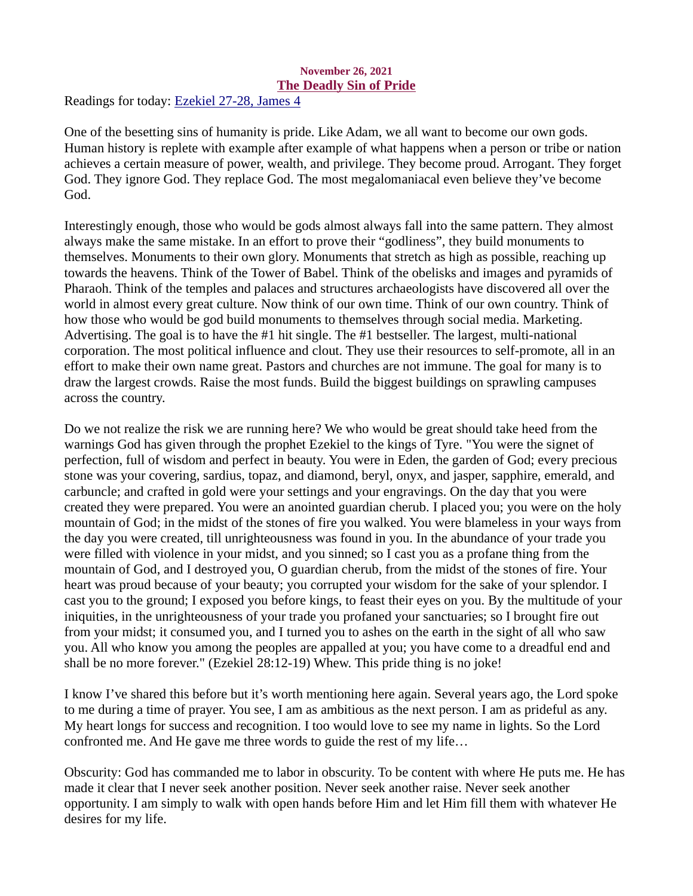#### November 26, 2021 The Deadly Sin of Pride

<span id="page-39-0"></span>Readings for today: [Ezekiel 27-28, James 4](https://www.biblegateway.com/passage/?search=Ezekiel+27-28%2C+James+4&version=ESV)

One of the besetting sins of humanity is pride. Like Adam, we all want to become our own gods. Human history is replete with example after example of what happens when a person or tribe or nation achieves a certain measure of power, wealth, and privilege. They become proud. Arrogant. They forget God. They ignore God. They replace God. The most megalomaniacal even believe they've become God.

Interestingly enough, those who would be gods almost always fall into the same pattern. They almost always make the same mistake. In an effort to prove their "godliness", they build monuments to themselves. Monuments to their own glory. Monuments that stretch as high as possible, reaching up towards the heavens. Think of the Tower of Babel. Think of the obelisks and images and pyramids of Pharaoh. Think of the temples and palaces and structures archaeologists have discovered all over the world in almost every great culture. Now think of our own time. Think of our own country. Think of how those who would be god build monuments to themselves through social media. Marketing. Advertising. The goal is to have the #1 hit single. The #1 bestseller. The largest, multi-national corporation. The most political influence and clout. They use their resources to self-promote, all in an effort to make their own name great. Pastors and churches are not immune. The goal for many is to draw the largest crowds. Raise the most funds. Build the biggest buildings on sprawling campuses across the country.

Do we not realize the risk we are running here? We who would be great should take heed from the warnings God has given through the prophet Ezekiel to the kings of Tyre. "You were the signet of perfection, full of wisdom and perfect in beauty. You were in Eden, the garden of God; every precious stone was your covering, sardius, topaz, and diamond, beryl, onyx, and jasper, sapphire, emerald, and carbuncle; and crafted in gold were your settings and your engravings. On the day that you were created they were prepared. You were an anointed guardian cherub. I placed you; you were on the holy mountain of God; in the midst of the stones of fire you walked. You were blameless in your ways from the day you were created, till unrighteousness was found in you. In the abundance of your trade you were filled with violence in your midst, and you sinned; so I cast you as a profane thing from the mountain of God, and I destroyed you, O guardian cherub, from the midst of the stones of fire. Your heart was proud because of your beauty; you corrupted your wisdom for the sake of your splendor. I cast you to the ground; I exposed you before kings, to feast their eyes on you. By the multitude of your iniquities, in the unrighteousness of your trade you profaned your sanctuaries; so I brought fire out from your midst; it consumed you, and I turned you to ashes on the earth in the sight of all who saw you. All who know you among the peoples are appalled at you; you have come to a dreadful end and shall be no more forever." (Ezekiel 28:12-19) Whew. This pride thing is no joke!

I know I've shared this before but it's worth mentioning here again. Several years ago, the Lord spoke to me during a time of prayer. You see, I am as ambitious as the next person. I am as prideful as any. My heart longs for success and recognition. I too would love to see my name in lights. So the Lord confronted me. And He gave me three words to guide the rest of my life…

Obscurity: God has commanded me to labor in obscurity. To be content with where He puts me. He has made it clear that I never seek another position. Never seek another raise. Never seek another opportunity. I am simply to walk with open hands before Him and let Him fill them with whatever He desires for my life.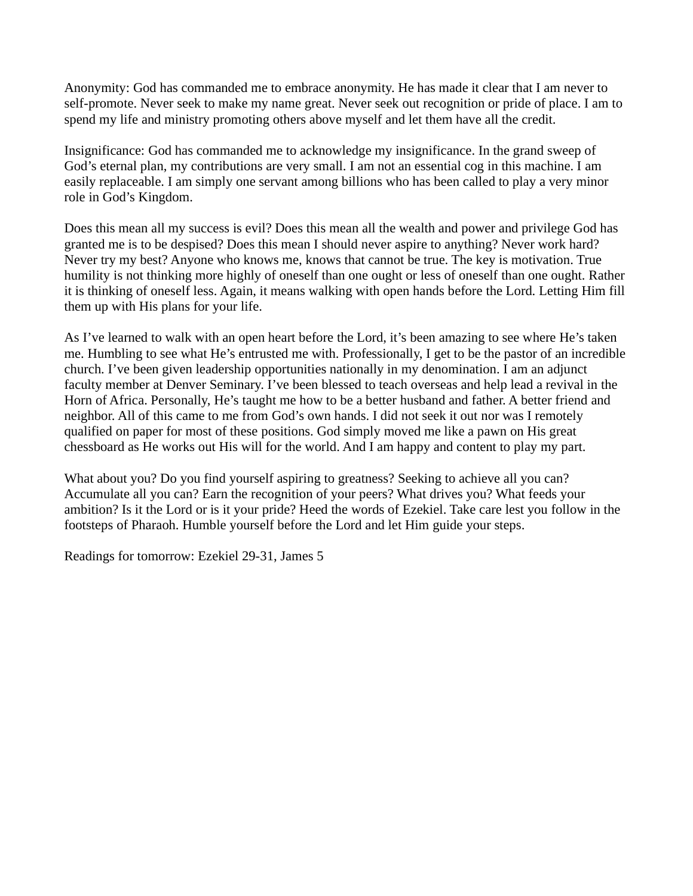Anonymity: God has commanded me to embrace anonymity. He has made it clear that I am never to self-promote. Never seek to make my name great. Never seek out recognition or pride of place. I am to spend my life and ministry promoting others above myself and let them have all the credit.

Insignificance: God has commanded me to acknowledge my insignificance. In the grand sweep of God's eternal plan, my contributions are very small. I am not an essential cog in this machine. I am easily replaceable. I am simply one servant among billions who has been called to play a very minor role in God's Kingdom.

Does this mean all my success is evil? Does this mean all the wealth and power and privilege God has granted me is to be despised? Does this mean I should never aspire to anything? Never work hard? Never try my best? Anyone who knows me, knows that cannot be true. The key is motivation. True humility is not thinking more highly of oneself than one ought or less of oneself than one ought. Rather it is thinking of oneself less. Again, it means walking with open hands before the Lord. Letting Him fill them up with His plans for your life.

As I've learned to walk with an open heart before the Lord, it's been amazing to see where He's taken me. Humbling to see what He's entrusted me with. Professionally, I get to be the pastor of an incredible church. I've been given leadership opportunities nationally in my denomination. I am an adjunct faculty member at Denver Seminary. I've been blessed to teach overseas and help lead a revival in the Horn of Africa. Personally, He's taught me how to be a better husband and father. A better friend and neighbor. All of this came to me from God's own hands. I did not seek it out nor was I remotely qualified on paper for most of these positions. God simply moved me like a pawn on His great chessboard as He works out His will for the world. And I am happy and content to play my part.

What about you? Do you find yourself aspiring to greatness? Seeking to achieve all you can? Accumulate all you can? Earn the recognition of your peers? What drives you? What feeds your ambition? Is it the Lord or is it your pride? Heed the words of Ezekiel. Take care lest you follow in the footsteps of Pharaoh. Humble yourself before the Lord and let Him guide your steps.

Readings for tomorrow: Ezekiel 29-31, James 5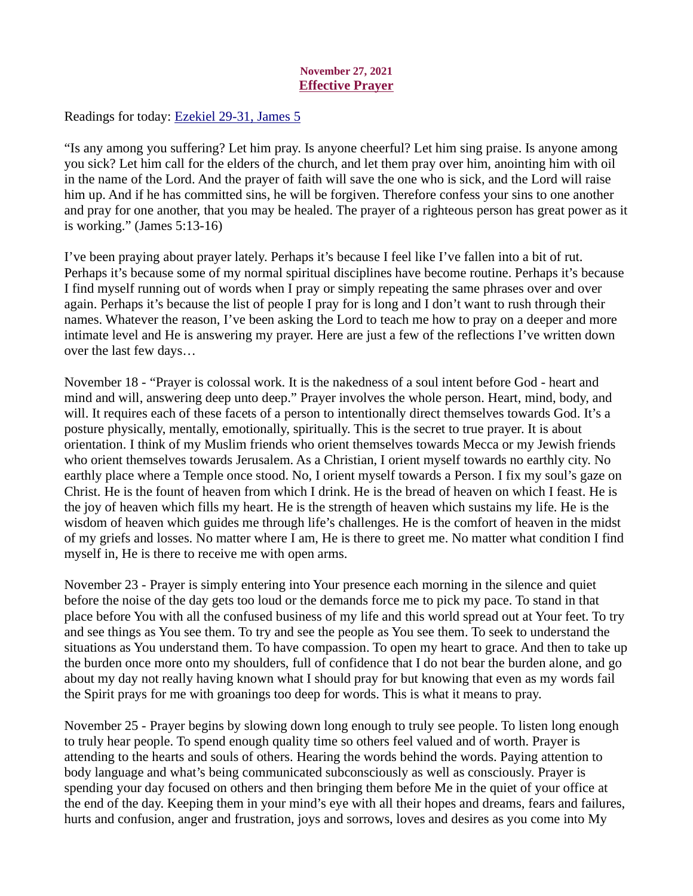# November 27, 2021 Effective Prayer

<span id="page-41-0"></span>Readings for today[: Ezekiel 29-31, James 5](https://www.biblegateway.com/passage/?search=Ezekiel+29-31%2C+James+5&version=ESV)

"Is any among you suffering? Let him pray. Is anyone cheerful? Let him sing praise. Is anyone among you sick? Let him call for the elders of the church, and let them pray over him, anointing him with oil in the name of the Lord. And the prayer of faith will save the one who is sick, and the Lord will raise him up. And if he has committed sins, he will be forgiven. Therefore confess your sins to one another and pray for one another, that you may be healed. The prayer of a righteous person has great power as it is working." (James 5:13-16)

I've been praying about prayer lately. Perhaps it's because I feel like I've fallen into a bit of rut. Perhaps it's because some of my normal spiritual disciplines have become routine. Perhaps it's because I find myself running out of words when I pray or simply repeating the same phrases over and over again. Perhaps it's because the list of people I pray for is long and I don't want to rush through their names. Whatever the reason, I've been asking the Lord to teach me how to pray on a deeper and more intimate level and He is answering my prayer. Here are just a few of the reflections I've written down over the last few days…

November 18 - "Prayer is colossal work. It is the nakedness of a soul intent before God - heart and mind and will, answering deep unto deep." Prayer involves the whole person. Heart, mind, body, and will. It requires each of these facets of a person to intentionally direct themselves towards God. It's a posture physically, mentally, emotionally, spiritually. This is the secret to true prayer. It is about orientation. I think of my Muslim friends who orient themselves towards Mecca or my Jewish friends who orient themselves towards Jerusalem. As a Christian, I orient myself towards no earthly city. No earthly place where a Temple once stood. No, I orient myself towards a Person. I fix my soul's gaze on Christ. He is the fount of heaven from which I drink. He is the bread of heaven on which I feast. He is the joy of heaven which fills my heart. He is the strength of heaven which sustains my life. He is the wisdom of heaven which guides me through life's challenges. He is the comfort of heaven in the midst of my griefs and losses. No matter where I am, He is there to greet me. No matter what condition I find myself in, He is there to receive me with open arms.

November 23 - Prayer is simply entering into Your presence each morning in the silence and quiet before the noise of the day gets too loud or the demands force me to pick my pace. To stand in that place before You with all the confused business of my life and this world spread out at Your feet. To try and see things as You see them. To try and see the people as You see them. To seek to understand the situations as You understand them. To have compassion. To open my heart to grace. And then to take up the burden once more onto my shoulders, full of confidence that I do not bear the burden alone, and go about my day not really having known what I should pray for but knowing that even as my words fail the Spirit prays for me with groanings too deep for words. This is what it means to pray.

November 25 - Prayer begins by slowing down long enough to truly see people. To listen long enough to truly hear people. To spend enough quality time so others feel valued and of worth. Prayer is attending to the hearts and souls of others. Hearing the words behind the words. Paying attention to body language and what's being communicated subconsciously as well as consciously. Prayer is spending your day focused on others and then bringing them before Me in the quiet of your office at the end of the day. Keeping them in your mind's eye with all their hopes and dreams, fears and failures, hurts and confusion, anger and frustration, joys and sorrows, loves and desires as you come into My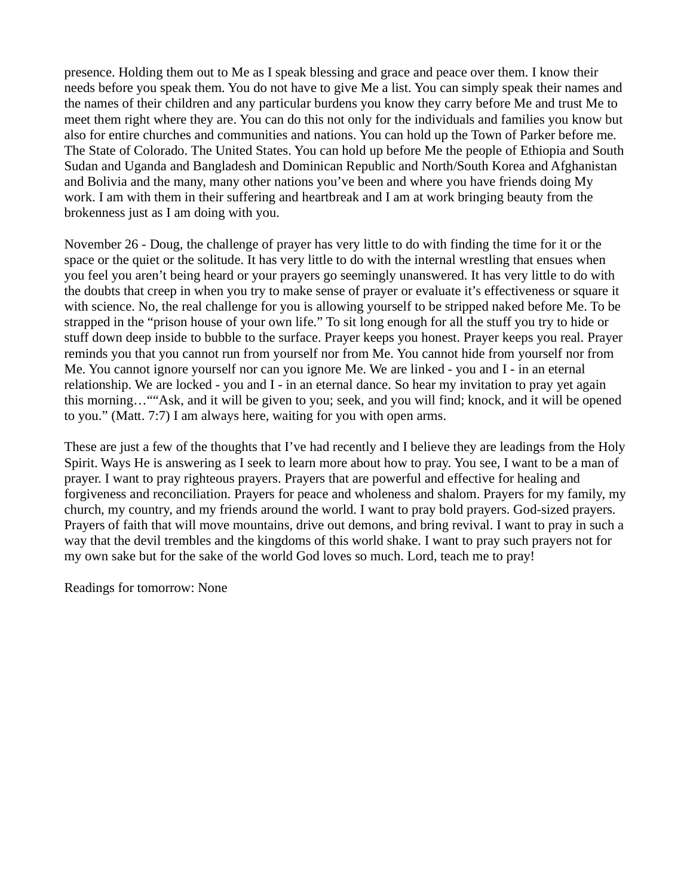presence. Holding them out to Me as I speak blessing and grace and peace over them. I know their needs before you speak them. You do not have to give Me a list. You can simply speak their names and the names of their children and any particular burdens you know they carry before Me and trust Me to meet them right where they are. You can do this not only for the individuals and families you know but also for entire churches and communities and nations. You can hold up the Town of Parker before me. The State of Colorado. The United States. You can hold up before Me the people of Ethiopia and South Sudan and Uganda and Bangladesh and Dominican Republic and North/South Korea and Afghanistan and Bolivia and the many, many other nations you've been and where you have friends doing My work. I am with them in their suffering and heartbreak and I am at work bringing beauty from the brokenness just as I am doing with you.

November 26 - Doug, the challenge of prayer has very little to do with finding the time for it or the space or the quiet or the solitude. It has very little to do with the internal wrestling that ensues when you feel you aren't being heard or your prayers go seemingly unanswered. It has very little to do with the doubts that creep in when you try to make sense of prayer or evaluate it's effectiveness or square it with science. No, the real challenge for you is allowing yourself to be stripped naked before Me. To be strapped in the "prison house of your own life." To sit long enough for all the stuff you try to hide or stuff down deep inside to bubble to the surface. Prayer keeps you honest. Prayer keeps you real. Prayer reminds you that you cannot run from yourself nor from Me. You cannot hide from yourself nor from Me. You cannot ignore yourself nor can you ignore Me. We are linked - you and I - in an eternal relationship. We are locked - you and I - in an eternal dance. So hear my invitation to pray yet again this morning…""Ask, and it will be given to you; seek, and you will find; knock, and it will be opened to you." (Matt. 7:7) I am always here, waiting for you with open arms.

These are just a few of the thoughts that I've had recently and I believe they are leadings from the Holy Spirit. Ways He is answering as I seek to learn more about how to pray. You see, I want to be a man of prayer. I want to pray righteous prayers. Prayers that are powerful and effective for healing and forgiveness and reconciliation. Prayers for peace and wholeness and shalom. Prayers for my family, my church, my country, and my friends around the world. I want to pray bold prayers. God-sized prayers. Prayers of faith that will move mountains, drive out demons, and bring revival. I want to pray in such a way that the devil trembles and the kingdoms of this world shake. I want to pray such prayers not for my own sake but for the sake of the world God loves so much. Lord, teach me to pray!

Readings for tomorrow: None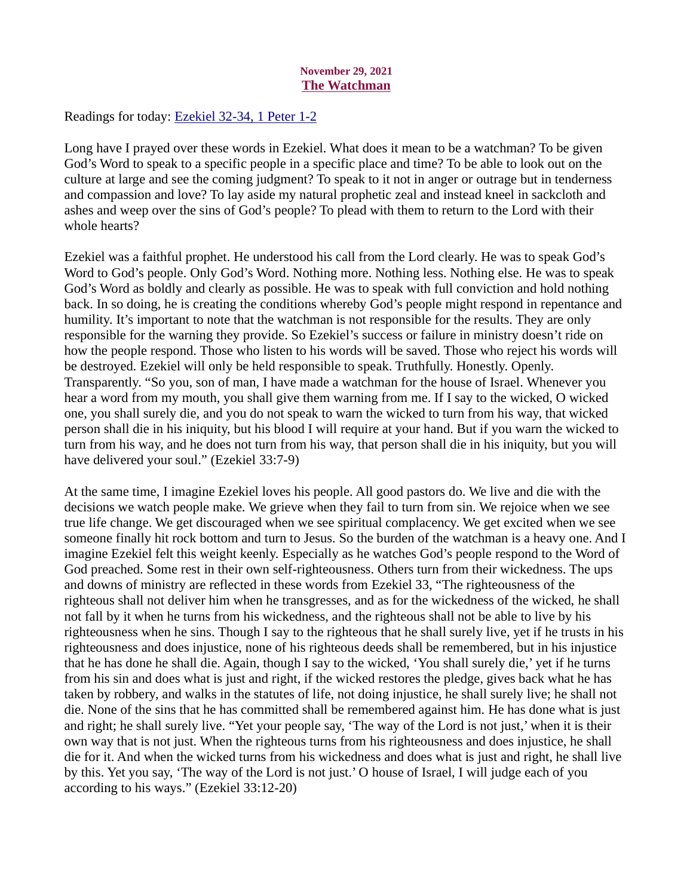# November 29, 2021 The Watchman

<span id="page-43-0"></span>Readings for today[: Ezekiel 32-34, 1 Peter 1-2](https://www.biblegateway.com/passage/?search=Ezekiel+32-34%2C+1+Peter+1-2&version=ESV)

Long have I prayed over these words in Ezekiel. What does it mean to be a watchman? To be given God's Word to speak to a specific people in a specific place and time? To be able to look out on the culture at large and see the coming judgment? To speak to it not in anger or outrage but in tenderness and compassion and love? To lay aside my natural prophetic zeal and instead kneel in sackcloth and ashes and weep over the sins of God's people? To plead with them to return to the Lord with their whole hearts?

Ezekiel was a faithful prophet. He understood his call from the Lord clearly. He was to speak God's Word to God's people. Only God's Word. Nothing more. Nothing less. Nothing else. He was to speak God's Word as boldly and clearly as possible. He was to speak with full conviction and hold nothing back. In so doing, he is creating the conditions whereby God's people might respond in repentance and humility. It's important to note that the watchman is not responsible for the results. They are only responsible for the warning they provide. So Ezekiel's success or failure in ministry doesn't ride on how the people respond. Those who listen to his words will be saved. Those who reject his words will be destroyed. Ezekiel will only be held responsible to speak. Truthfully. Honestly. Openly. Transparently. "So you, son of man, I have made a watchman for the house of Israel. Whenever you hear a word from my mouth, you shall give them warning from me. If I say to the wicked, O wicked one, you shall surely die, and you do not speak to warn the wicked to turn from his way, that wicked person shall die in his iniquity, but his blood I will require at your hand. But if you warn the wicked to turn from his way, and he does not turn from his way, that person shall die in his iniquity, but you will have delivered your soul." (Ezekiel 33:7-9)

At the same time, I imagine Ezekiel loves his people. All good pastors do. We live and die with the decisions we watch people make. We grieve when they fail to turn from sin. We rejoice when we see true life change. We get discouraged when we see spiritual complacency. We get excited when we see someone finally hit rock bottom and turn to Jesus. So the burden of the watchman is a heavy one. And I imagine Ezekiel felt this weight keenly. Especially as he watches God's people respond to the Word of God preached. Some rest in their own self-righteousness. Others turn from their wickedness. The ups and downs of ministry are reflected in these words from Ezekiel 33, "The righteousness of the righteous shall not deliver him when he transgresses, and as for the wickedness of the wicked, he shall not fall by it when he turns from his wickedness, and the righteous shall not be able to live by his righteousness when he sins. Though I say to the righteous that he shall surely live, yet if he trusts in his righteousness and does injustice, none of his righteous deeds shall be remembered, but in his injustice that he has done he shall die. Again, though I say to the wicked, 'You shall surely die,' yet if he turns from his sin and does what is just and right, if the wicked restores the pledge, gives back what he has taken by robbery, and walks in the statutes of life, not doing injustice, he shall surely live; he shall not die. None of the sins that he has committed shall be remembered against him. He has done what is just and right; he shall surely live. "Yet your people say, 'The way of the Lord is not just,' when it is their own way that is not just. When the righteous turns from his righteousness and does injustice, he shall die for it. And when the wicked turns from his wickedness and does what is just and right, he shall live by this. Yet you say, 'The way of the Lord is not just.' O house of Israel, I will judge each of you according to his ways." (Ezekiel 33:12-20)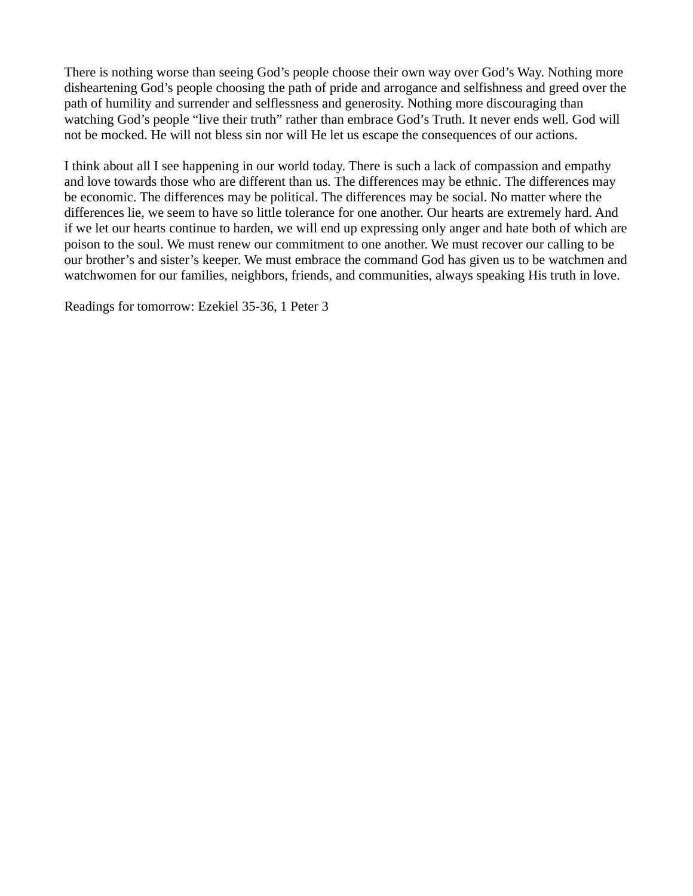There is nothing worse than seeing God's people choose their own way over God's Way. Nothing more disheartening God's people choosing the path of pride and arrogance and selfishness and greed over the path of humility and surrender and selflessness and generosity. Nothing more discouraging than watching God's people "live their truth" rather than embrace God's Truth. It never ends well. God will not be mocked. He will not bless sin nor will He let us escape the consequences of our actions.

I think about all I see happening in our world today. There is such a lack of compassion and empathy and love towards those who are different than us. The differences may be ethnic. The differences may be economic. The differences may be political. The differences may be social. No matter where the differences lie, we seem to have so little tolerance for one another. Our hearts are extremely hard. And if we let our hearts continue to harden, we will end up expressing only anger and hate both of which are poison to the soul. We must renew our commitment to one another. We must recover our calling to be our brother's and sister's keeper. We must embrace the command God has given us to be watchmen and watchwomen for our families, neighbors, friends, and communities, always speaking His truth in love.

Readings for tomorrow: Ezekiel 35-36, 1 Peter 3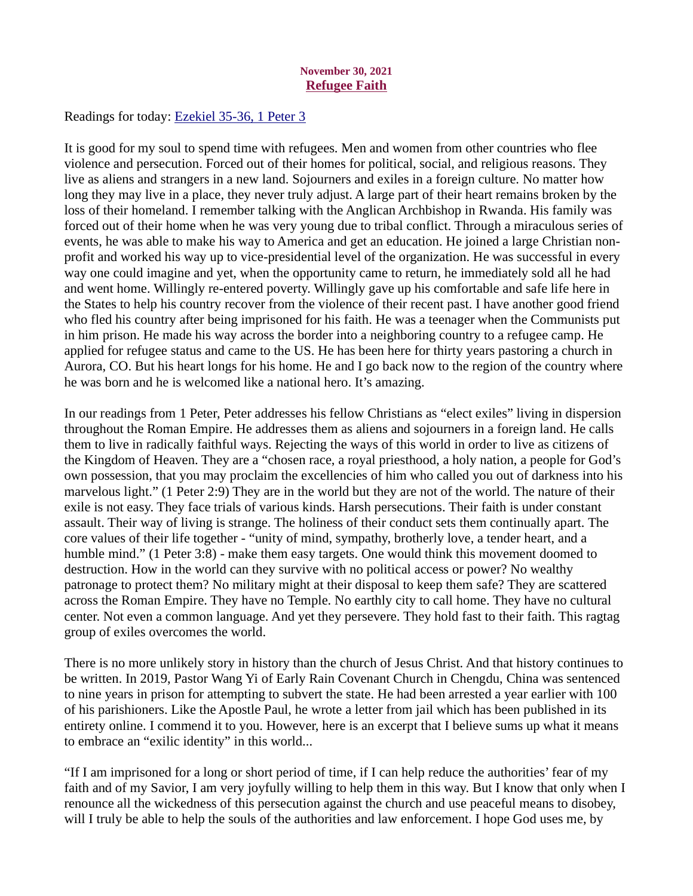# November 30, 2021 Refugee Faith

<span id="page-45-0"></span>Readings for today: [Ezekiel 35-36, 1 Peter 3](https://www.biblegateway.com/passage/?search=Ezekiel+35-36%2C+1+Peter+3&version=ESV)

It is good for my soul to spend time with refugees. Men and women from other countries who flee violence and persecution. Forced out of their homes for political, social, and religious reasons. They live as aliens and strangers in a new land. Sojourners and exiles in a foreign culture. No matter how long they may live in a place, they never truly adjust. A large part of their heart remains broken by the loss of their homeland. I remember talking with the Anglican Archbishop in Rwanda. His family was forced out of their home when he was very young due to tribal conflict. Through a miraculous series of events, he was able to make his way to America and get an education. He joined a large Christian nonprofit and worked his way up to vice-presidential level of the organization. He was successful in every way one could imagine and yet, when the opportunity came to return, he immediately sold all he had and went home. Willingly re-entered poverty. Willingly gave up his comfortable and safe life here in the States to help his country recover from the violence of their recent past. I have another good friend who fled his country after being imprisoned for his faith. He was a teenager when the Communists put in him prison. He made his way across the border into a neighboring country to a refugee camp. He applied for refugee status and came to the US. He has been here for thirty years pastoring a church in Aurora, CO. But his heart longs for his home. He and I go back now to the region of the country where he was born and he is welcomed like a national hero. It's amazing.

In our readings from 1 Peter, Peter addresses his fellow Christians as "elect exiles" living in dispersion throughout the Roman Empire. He addresses them as aliens and sojourners in a foreign land. He calls them to live in radically faithful ways. Rejecting the ways of this world in order to live as citizens of the Kingdom of Heaven. They are a "chosen race, a royal priesthood, a holy nation, a people for God's own possession, that you may proclaim the excellencies of him who called you out of darkness into his marvelous light." (1 Peter 2:9) They are in the world but they are not of the world. The nature of their exile is not easy. They face trials of various kinds. Harsh persecutions. Their faith is under constant assault. Their way of living is strange. The holiness of their conduct sets them continually apart. The core values of their life together - "unity of mind, sympathy, brotherly love, a tender heart, and a humble mind." (1 Peter 3:8) - make them easy targets. One would think this movement doomed to destruction. How in the world can they survive with no political access or power? No wealthy patronage to protect them? No military might at their disposal to keep them safe? They are scattered across the Roman Empire. They have no Temple. No earthly city to call home. They have no cultural center. Not even a common language. And yet they persevere. They hold fast to their faith. This ragtag group of exiles overcomes the world.

There is no more unlikely story in history than the church of Jesus Christ. And that history continues to be written. In 2019, Pastor Wang Yi of Early Rain Covenant Church in Chengdu, China was sentenced to nine years in prison for attempting to subvert the state. He had been arrested a year earlier with 100 of his parishioners. Like the Apostle Paul, he wrote a letter from jail which has been published in its entirety online. I commend it to you. However, here is an excerpt that I believe sums up what it means to embrace an "exilic identity" in this world...

"If I am imprisoned for a long or short period of time, if I can help reduce the authorities' fear of my faith and of my Savior, I am very joyfully willing to help them in this way. But I know that only when I renounce all the wickedness of this persecution against the church and use peaceful means to disobey, will I truly be able to help the souls of the authorities and law enforcement. I hope God uses me, by